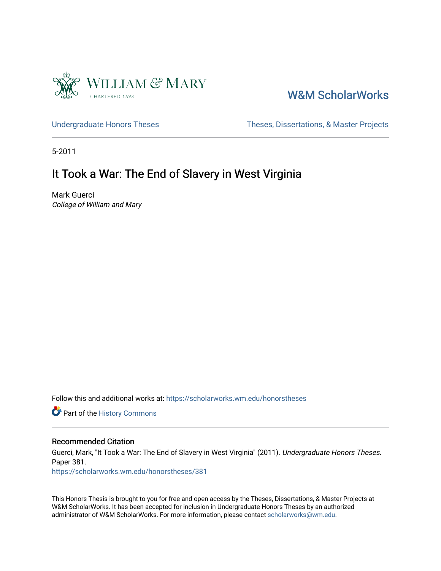

# [W&M ScholarWorks](https://scholarworks.wm.edu/)

[Undergraduate Honors Theses](https://scholarworks.wm.edu/honorstheses) Theses Theses, Dissertations, & Master Projects

5-2011

# It Took a War: The End of Slavery in West Virginia

Mark Guerci College of William and Mary

Follow this and additional works at: [https://scholarworks.wm.edu/honorstheses](https://scholarworks.wm.edu/honorstheses?utm_source=scholarworks.wm.edu%2Fhonorstheses%2F381&utm_medium=PDF&utm_campaign=PDFCoverPages) 

Part of the [History Commons](http://network.bepress.com/hgg/discipline/489?utm_source=scholarworks.wm.edu%2Fhonorstheses%2F381&utm_medium=PDF&utm_campaign=PDFCoverPages) 

#### Recommended Citation

Guerci, Mark, "It Took a War: The End of Slavery in West Virginia" (2011). Undergraduate Honors Theses. Paper 381.

[https://scholarworks.wm.edu/honorstheses/381](https://scholarworks.wm.edu/honorstheses/381?utm_source=scholarworks.wm.edu%2Fhonorstheses%2F381&utm_medium=PDF&utm_campaign=PDFCoverPages) 

This Honors Thesis is brought to you for free and open access by the Theses, Dissertations, & Master Projects at W&M ScholarWorks. It has been accepted for inclusion in Undergraduate Honors Theses by an authorized administrator of W&M ScholarWorks. For more information, please contact [scholarworks@wm.edu.](mailto:scholarworks@wm.edu)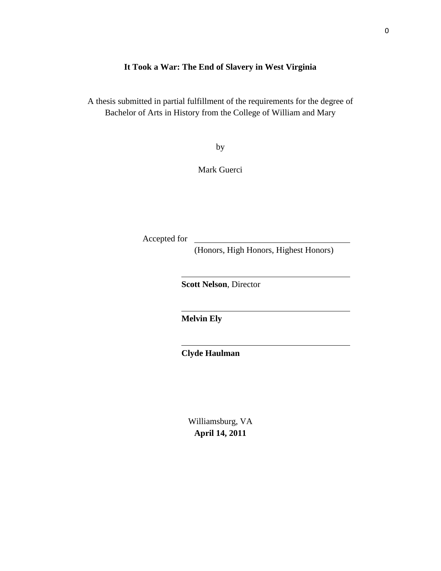### **It Took a War: The End of Slavery in West Virginia**

A thesis submitted in partial fulfillment of the requirements for the degree of Bachelor of Arts in History from the College of William and Mary

by

Mark Guerci

Accepted for

(Honors, High Honors, Highest Honors)

**Scott Nelson**, Director

**Melvin Ely**

**Clyde Haulman**

Williamsburg, VA **April 14, 2011**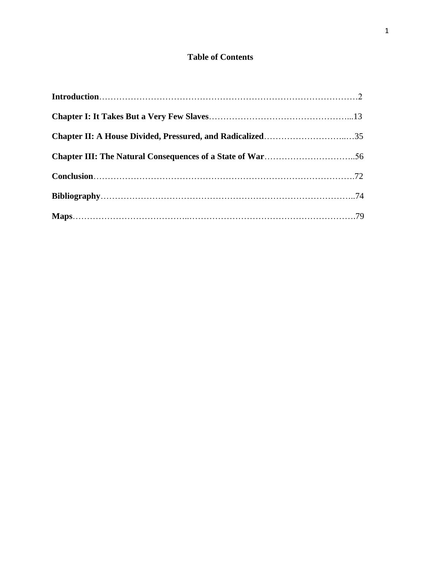## **Table of Contents**

| Chapter II: A House Divided, Pressured, and Radicalized35 |  |
|-----------------------------------------------------------|--|
|                                                           |  |
|                                                           |  |
|                                                           |  |
|                                                           |  |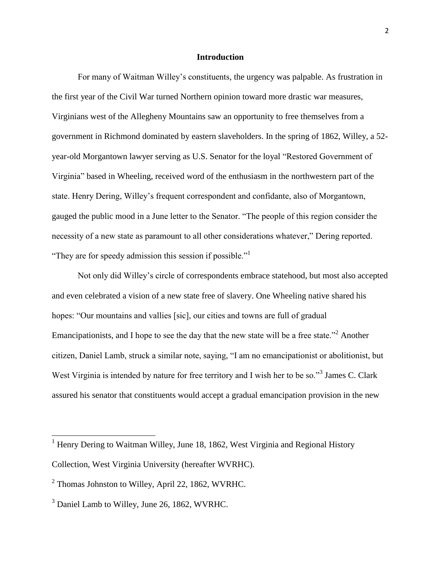#### **Introduction**

For many of Waitman Willey's constituents, the urgency was palpable. As frustration in the first year of the Civil War turned Northern opinion toward more drastic war measures, Virginians west of the Allegheny Mountains saw an opportunity to free themselves from a government in Richmond dominated by eastern slaveholders. In the spring of 1862, Willey, a 52 year-old Morgantown lawyer serving as U.S. Senator for the loyal "Restored Government of Virginia" based in Wheeling, received word of the enthusiasm in the northwestern part of the state. Henry Dering, Willey's frequent correspondent and confidante, also of Morgantown, gauged the public mood in a June letter to the Senator. "The people of this region consider the necessity of a new state as paramount to all other considerations whatever," Dering reported. "They are for speedy admission this session if possible."

Not only did Willey's circle of correspondents embrace statehood, but most also accepted and even celebrated a vision of a new state free of slavery. One Wheeling native shared his hopes: "Our mountains and vallies [sic], our cities and towns are full of gradual Emancipationists, and I hope to see the day that the new state will be a free state.<sup>22</sup> Another citizen, Daniel Lamb, struck a similar note, saying, "I am no emancipationist or abolitionist, but West Virginia is intended by nature for free territory and I wish her to be so."<sup>3</sup> James C. Clark assured his senator that constituents would accept a gradual emancipation provision in the new

 $1$  Henry Dering to Waitman Willey, June 18, 1862, West Virginia and Regional History Collection, West Virginia University (hereafter WVRHC).

 $2$  Thomas Johnston to Willey, April 22, 1862, WVRHC.

<sup>&</sup>lt;sup>3</sup> Daniel Lamb to Willey, June 26, 1862, WVRHC.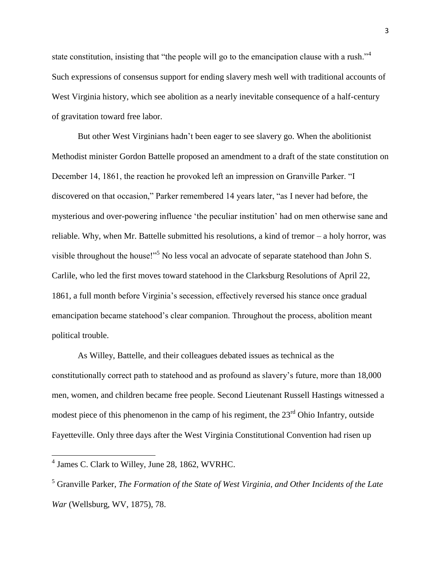state constitution, insisting that "the people will go to the emancipation clause with a rush."<sup>4</sup> Such expressions of consensus support for ending slavery mesh well with traditional accounts of West Virginia history, which see abolition as a nearly inevitable consequence of a half-century of gravitation toward free labor.

But other West Virginians hadn't been eager to see slavery go. When the abolitionist Methodist minister Gordon Battelle proposed an amendment to a draft of the state constitution on December 14, 1861, the reaction he provoked left an impression on Granville Parker. "I discovered on that occasion," Parker remembered 14 years later, "as I never had before, the mysterious and over-powering influence 'the peculiar institution' had on men otherwise sane and reliable. Why, when Mr. Battelle submitted his resolutions, a kind of tremor – a holy horror, was visible throughout the house!"<sup>5</sup> No less vocal an advocate of separate statehood than John S. Carlile, who led the first moves toward statehood in the Clarksburg Resolutions of April 22, 1861, a full month before Virginia's secession, effectively reversed his stance once gradual emancipation became statehood's clear companion. Throughout the process, abolition meant political trouble.

As Willey, Battelle, and their colleagues debated issues as technical as the constitutionally correct path to statehood and as profound as slavery's future, more than 18,000 men, women, and children became free people. Second Lieutenant Russell Hastings witnessed a modest piece of this phenomenon in the camp of his regiment, the  $23<sup>rd</sup>$  Ohio Infantry, outside Fayetteville. Only three days after the West Virginia Constitutional Convention had risen up

<sup>4</sup> James C. Clark to Willey, June 28, 1862, WVRHC.

<sup>5</sup> Granville Parker, *The Formation of the State of West Virginia, and Other Incidents of the Late War* (Wellsburg, WV, 1875), 78.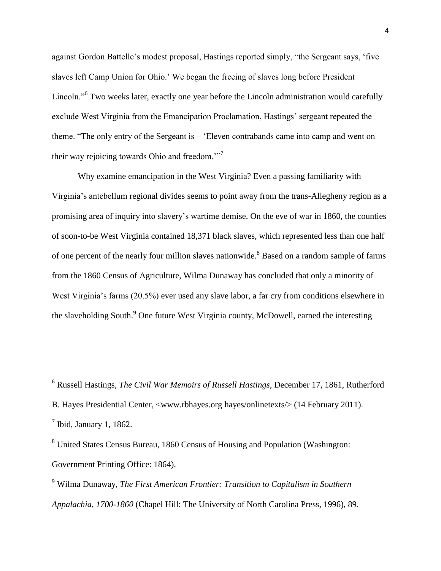against Gordon Battelle's modest proposal, Hastings reported simply, "the Sergeant says, 'five slaves left Camp Union for Ohio.' We began the freeing of slaves long before President Lincoln."<sup>6</sup> Two weeks later, exactly one year before the Lincoln administration would carefully exclude West Virginia from the Emancipation Proclamation, Hastings' sergeant repeated the theme. "The only entry of the Sergeant is – 'Eleven contrabands came into camp and went on their way rejoicing towards Ohio and freedom. $\cdot$ <sup>77</sup>

Why examine emancipation in the West Virginia? Even a passing familiarity with Virginia's antebellum regional divides seems to point away from the trans-Allegheny region as a promising area of inquiry into slavery's wartime demise. On the eve of war in 1860, the counties of soon-to-be West Virginia contained 18,371 black slaves, which represented less than one half of one percent of the nearly four million slaves nationwide.<sup>8</sup> Based on a random sample of farms from the 1860 Census of Agriculture, Wilma Dunaway has concluded that only a minority of West Virginia's farms (20.5%) ever used any slave labor, a far cry from conditions elsewhere in the slaveholding South.<sup>9</sup> One future West Virginia county, McDowell, earned the interesting

<sup>6</sup> Russell Hastings, *The Civil War Memoirs of Russell Hastings*, December 17, 1861, Rutherford B. Hayes Presidential Center, <www.rbhayes.org hayes/onlinetexts/> (14 February 2011).  $<sup>7</sup>$  Ibid, January 1, 1862.</sup>

<sup>8</sup> United States Census Bureau, 1860 Census of Housing and Population (Washington: Government Printing Office: 1864).

 $\overline{a}$ 

<sup>9</sup> Wilma Dunaway, *The First American Frontier: Transition to Capitalism in Southern Appalachia, 1700-1860* (Chapel Hill: The University of North Carolina Press, 1996), 89.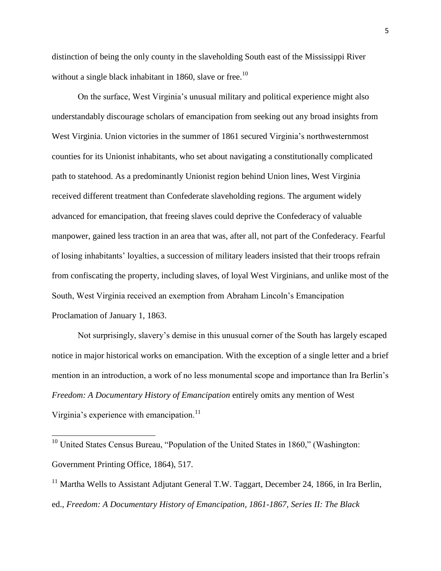distinction of being the only county in the slaveholding South east of the Mississippi River without a single black inhabitant in 1860, slave or free.<sup>10</sup>

On the surface, West Virginia's unusual military and political experience might also understandably discourage scholars of emancipation from seeking out any broad insights from West Virginia. Union victories in the summer of 1861 secured Virginia's northwesternmost counties for its Unionist inhabitants, who set about navigating a constitutionally complicated path to statehood. As a predominantly Unionist region behind Union lines, West Virginia received different treatment than Confederate slaveholding regions. The argument widely advanced for emancipation, that freeing slaves could deprive the Confederacy of valuable manpower, gained less traction in an area that was, after all, not part of the Confederacy. Fearful of losing inhabitants' loyalties, a succession of military leaders insisted that their troops refrain from confiscating the property, including slaves, of loyal West Virginians, and unlike most of the South, West Virginia received an exemption from Abraham Lincoln's Emancipation Proclamation of January 1, 1863.

Not surprisingly, slavery's demise in this unusual corner of the South has largely escaped notice in major historical works on emancipation. With the exception of a single letter and a brief mention in an introduction, a work of no less monumental scope and importance than Ira Berlin's *Freedom: A Documentary History of Emancipation* entirely omits any mention of West Virginia's experience with emancipation. $^{11}$ 

 $10$  United States Census Bureau, "Population of the United States in 1860," (Washington: Government Printing Office, 1864), 517.

 $\overline{\phantom{a}}$ 

<sup>11</sup> Martha Wells to Assistant Adjutant General T.W. Taggart, December 24, 1866, in Ira Berlin, ed., *Freedom: A Documentary History of Emancipation, 1861-1867, Series II: The Black*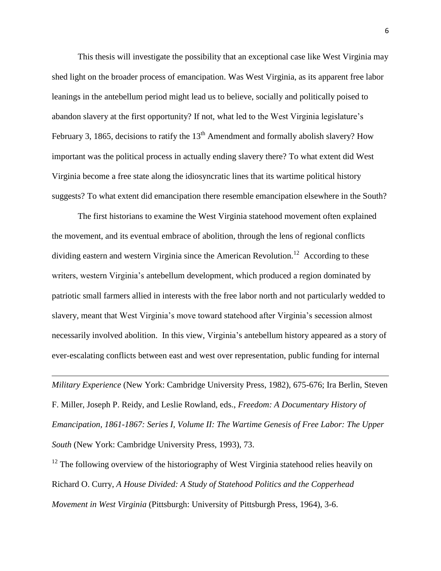This thesis will investigate the possibility that an exceptional case like West Virginia may shed light on the broader process of emancipation. Was West Virginia, as its apparent free labor leanings in the antebellum period might lead us to believe, socially and politically poised to abandon slavery at the first opportunity? If not, what led to the West Virginia legislature's February 3, 1865, decisions to ratify the  $13<sup>th</sup>$  Amendment and formally abolish slavery? How important was the political process in actually ending slavery there? To what extent did West Virginia become a free state along the idiosyncratic lines that its wartime political history suggests? To what extent did emancipation there resemble emancipation elsewhere in the South?

The first historians to examine the West Virginia statehood movement often explained the movement, and its eventual embrace of abolition, through the lens of regional conflicts dividing eastern and western Virginia since the American Revolution.<sup>12</sup> According to these writers, western Virginia's antebellum development, which produced a region dominated by patriotic small farmers allied in interests with the free labor north and not particularly wedded to slavery, meant that West Virginia's move toward statehood after Virginia's secession almost necessarily involved abolition. In this view, Virginia's antebellum history appeared as a story of ever-escalating conflicts between east and west over representation, public funding for internal

*Military Experience* (New York: Cambridge University Press, 1982), 675-676; Ira Berlin, Steven F. Miller, Joseph P. Reidy, and Leslie Rowland, eds., *Freedom: A Documentary History of Emancipation, 1861-1867: Series I, Volume II: The Wartime Genesis of Free Labor: The Upper South* (New York: Cambridge University Press, 1993), 73.

 $\overline{a}$ 

 $12$  The following overview of the historiography of West Virginia statehood relies heavily on Richard O. Curry, *A House Divided: A Study of Statehood Politics and the Copperhead Movement in West Virginia* (Pittsburgh: University of Pittsburgh Press, 1964), 3-6.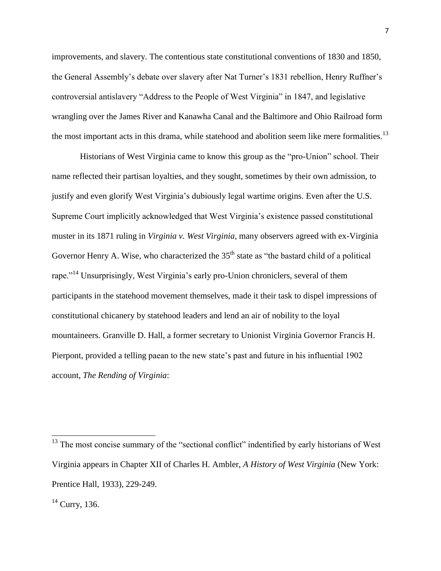improvements, and slavery. The contentious state constitutional conventions of 1830 and 1850, the General Assembly's debate over slavery after Nat Turner's 1831 rebellion, Henry Ruffner's controversial antislavery "Address to the People of West Virginia" in 1847, and legislative wrangling over the James River and Kanawha Canal and the Baltimore and Ohio Railroad form the most important acts in this drama, while statehood and abolition seem like mere formalities.<sup>13</sup>

Historians of West Virginia came to know this group as the "pro-Union" school. Their name reflected their partisan loyalties, and they sought, sometimes by their own admission, to justify and even glorify West Virginia's dubiously legal wartime origins. Even after the U.S. Supreme Court implicitly acknowledged that West Virginia's existence passed constitutional muster in its 1871 ruling in *Virginia v. West Virginia*, many observers agreed with ex-Virginia Governor Henry A. Wise, who characterized the  $35<sup>th</sup>$  state as "the bastard child of a political rape."<sup>14</sup> Unsurprisingly, West Virginia's early pro-Union chroniclers, several of them participants in the statehood movement themselves, made it their task to dispel impressions of constitutional chicanery by statehood leaders and lend an air of nobility to the loyal mountaineers. Granville D. Hall, a former secretary to Unionist Virginia Governor Francis H. Pierpont, provided a telling paean to the new state's past and future in his influential 1902 account, *The Rending of Virginia*:

 $13$  The most concise summary of the "sectional conflict" indentified by early historians of West Virginia appears in Chapter XII of Charles H. Ambler, *A History of West Virginia* (New York: Prentice Hall, 1933), 229-249.

 $14$  Curry, 136.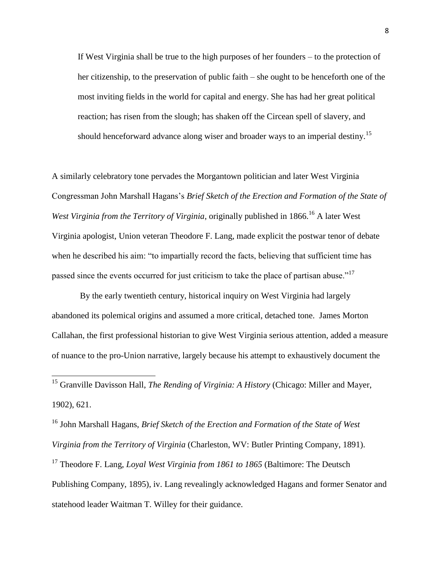If West Virginia shall be true to the high purposes of her founders – to the protection of her citizenship, to the preservation of public faith – she ought to be henceforth one of the most inviting fields in the world for capital and energy. She has had her great political reaction; has risen from the slough; has shaken off the Circean spell of slavery, and should henceforward advance along wiser and broader ways to an imperial destiny.<sup>15</sup>

A similarly celebratory tone pervades the Morgantown politician and later West Virginia Congressman John Marshall Hagans's *Brief Sketch of the Erection and Formation of the State of West Virginia from the Territory of Virginia*, originally published in 1866.<sup>16</sup> A later West Virginia apologist, Union veteran Theodore F. Lang, made explicit the postwar tenor of debate when he described his aim: "to impartially record the facts, believing that sufficient time has passed since the events occurred for just criticism to take the place of partisan abuse."<sup>17</sup>

By the early twentieth century, historical inquiry on West Virginia had largely abandoned its polemical origins and assumed a more critical, detached tone. James Morton Callahan, the first professional historian to give West Virginia serious attention, added a measure of nuance to the pro-Union narrative, largely because his attempt to exhaustively document the

<sup>15</sup> Granville Davisson Hall, *The Rending of Virginia: A History* (Chicago: Miller and Mayer, 1902), 621.

 $\overline{a}$ 

<sup>16</sup> John Marshall Hagans, *Brief Sketch of the Erection and Formation of the State of West Virginia from the Territory of Virginia* (Charleston, WV: Butler Printing Company, 1891).

<sup>17</sup> Theodore F. Lang, *Loyal West Virginia from 1861 to 1865* (Baltimore: The Deutsch Publishing Company, 1895), iv. Lang revealingly acknowledged Hagans and former Senator and statehood leader Waitman T. Willey for their guidance.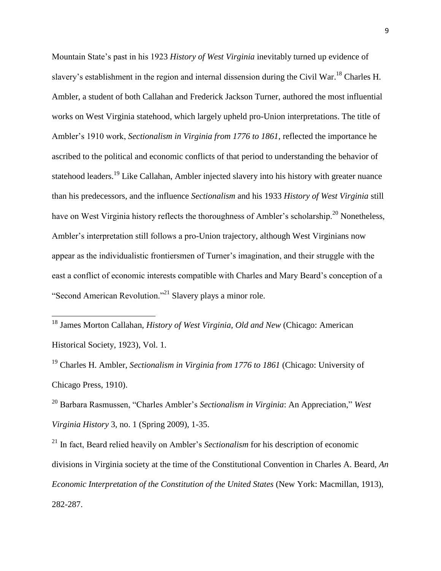Mountain State's past in his 1923 *History of West Virginia* inevitably turned up evidence of slavery's establishment in the region and internal dissension during the Civil War.<sup>18</sup> Charles H. Ambler, a student of both Callahan and Frederick Jackson Turner, authored the most influential works on West Virginia statehood, which largely upheld pro-Union interpretations. The title of Ambler's 1910 work, *Sectionalism in Virginia from 1776 to 1861*, reflected the importance he ascribed to the political and economic conflicts of that period to understanding the behavior of statehood leaders.<sup>19</sup> Like Callahan, Ambler injected slavery into his history with greater nuance than his predecessors, and the influence *Sectionalism* and his 1933 *History of West Virginia* still have on West Virginia history reflects the thoroughness of Ambler's scholarship.<sup>20</sup> Nonetheless, Ambler's interpretation still follows a pro-Union trajectory, although West Virginians now appear as the individualistic frontiersmen of Turner's imagination, and their struggle with the east a conflict of economic interests compatible with Charles and Mary Beard's conception of a "Second American Revolution."<sup>21</sup> Slavery plays a minor role.

<sup>18</sup> James Morton Callahan, *History of West Virginia, Old and New* (Chicago: American Historical Society, 1923), Vol. 1.

 $\overline{a}$ 

<sup>19</sup> Charles H. Ambler, *Sectionalism in Virginia from 1776 to 1861* (Chicago: University of Chicago Press, 1910).

<sup>20</sup> Barbara Rasmussen, "Charles Ambler's *Sectionalism in Virginia*: An Appreciation," *West Virginia History* 3, no. 1 (Spring 2009), 1-35.

<sup>21</sup> In fact, Beard relied heavily on Ambler's *Sectionalism* for his description of economic divisions in Virginia society at the time of the Constitutional Convention in Charles A. Beard, *An Economic Interpretation of the Constitution of the United States (New York: Macmillan, 1913),* 282-287.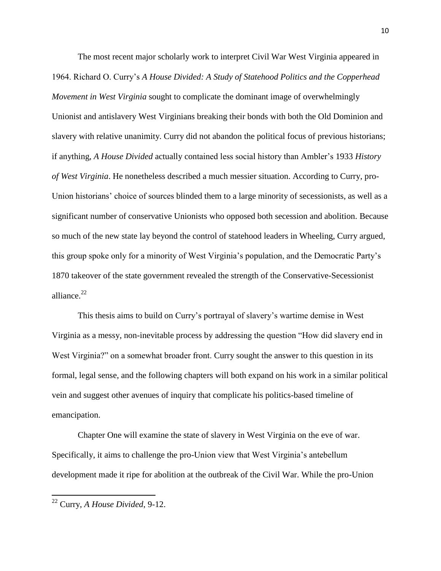The most recent major scholarly work to interpret Civil War West Virginia appeared in 1964. Richard O. Curry's *A House Divided: A Study of Statehood Politics and the Copperhead Movement in West Virginia* sought to complicate the dominant image of overwhelmingly Unionist and antislavery West Virginians breaking their bonds with both the Old Dominion and slavery with relative unanimity. Curry did not abandon the political focus of previous historians; if anything, *A House Divided* actually contained less social history than Ambler's 1933 *History of West Virginia*. He nonetheless described a much messier situation. According to Curry, pro-Union historians' choice of sources blinded them to a large minority of secessionists, as well as a significant number of conservative Unionists who opposed both secession and abolition. Because so much of the new state lay beyond the control of statehood leaders in Wheeling, Curry argued, this group spoke only for a minority of West Virginia's population, and the Democratic Party's 1870 takeover of the state government revealed the strength of the Conservative-Secessionist alliance.<sup>22</sup>

This thesis aims to build on Curry's portrayal of slavery's wartime demise in West Virginia as a messy, non-inevitable process by addressing the question "How did slavery end in West Virginia?" on a somewhat broader front. Curry sought the answer to this question in its formal, legal sense, and the following chapters will both expand on his work in a similar political vein and suggest other avenues of inquiry that complicate his politics-based timeline of emancipation.

Chapter One will examine the state of slavery in West Virginia on the eve of war. Specifically, it aims to challenge the pro-Union view that West Virginia's antebellum development made it ripe for abolition at the outbreak of the Civil War. While the pro-Union

<sup>22</sup> Curry, *A House Divided*, 9-12.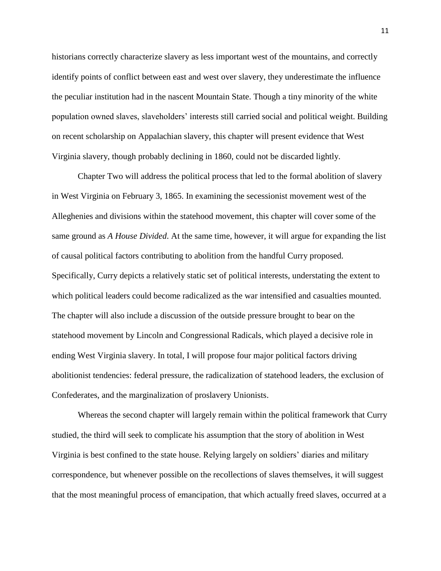historians correctly characterize slavery as less important west of the mountains, and correctly identify points of conflict between east and west over slavery, they underestimate the influence the peculiar institution had in the nascent Mountain State. Though a tiny minority of the white population owned slaves, slaveholders' interests still carried social and political weight. Building on recent scholarship on Appalachian slavery, this chapter will present evidence that West Virginia slavery, though probably declining in 1860, could not be discarded lightly.

Chapter Two will address the political process that led to the formal abolition of slavery in West Virginia on February 3, 1865. In examining the secessionist movement west of the Alleghenies and divisions within the statehood movement, this chapter will cover some of the same ground as *A House Divided*. At the same time, however, it will argue for expanding the list of causal political factors contributing to abolition from the handful Curry proposed. Specifically, Curry depicts a relatively static set of political interests, understating the extent to which political leaders could become radicalized as the war intensified and casualties mounted. The chapter will also include a discussion of the outside pressure brought to bear on the statehood movement by Lincoln and Congressional Radicals, which played a decisive role in ending West Virginia slavery. In total, I will propose four major political factors driving abolitionist tendencies: federal pressure, the radicalization of statehood leaders, the exclusion of Confederates, and the marginalization of proslavery Unionists.

Whereas the second chapter will largely remain within the political framework that Curry studied, the third will seek to complicate his assumption that the story of abolition in West Virginia is best confined to the state house. Relying largely on soldiers' diaries and military correspondence, but whenever possible on the recollections of slaves themselves, it will suggest that the most meaningful process of emancipation, that which actually freed slaves, occurred at a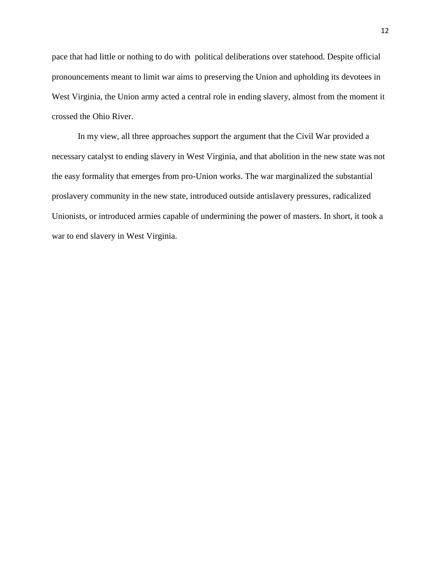pace that had little or nothing to do with political deliberations over statehood. Despite official pronouncements meant to limit war aims to preserving the Union and upholding its devotees in West Virginia, the Union army acted a central role in ending slavery, almost from the moment it crossed the Ohio River.

In my view, all three approaches support the argument that the Civil War provided a necessary catalyst to ending slavery in West Virginia, and that abolition in the new state was not the easy formality that emerges from pro-Union works. The war marginalized the substantial proslavery community in the new state, introduced outside antislavery pressures, radicalized Unionists, or introduced armies capable of undermining the power of masters. In short, it took a war to end slavery in West Virginia.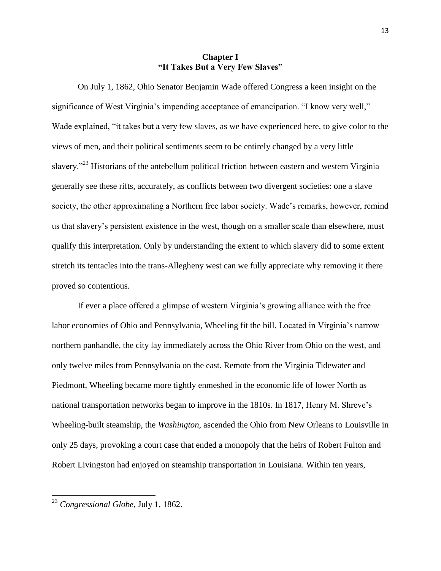### **Chapter I "It Takes But a Very Few Slaves"**

On July 1, 1862, Ohio Senator Benjamin Wade offered Congress a keen insight on the significance of West Virginia's impending acceptance of emancipation. "I know very well," Wade explained, "it takes but a very few slaves, as we have experienced here, to give color to the views of men, and their political sentiments seem to be entirely changed by a very little slavery."<sup>23</sup> Historians of the antebellum political friction between eastern and western Virginia generally see these rifts, accurately, as conflicts between two divergent societies: one a slave society, the other approximating a Northern free labor society. Wade's remarks, however, remind us that slavery's persistent existence in the west, though on a smaller scale than elsewhere, must qualify this interpretation. Only by understanding the extent to which slavery did to some extent stretch its tentacles into the trans-Allegheny west can we fully appreciate why removing it there proved so contentious.

If ever a place offered a glimpse of western Virginia's growing alliance with the free labor economies of Ohio and Pennsylvania, Wheeling fit the bill. Located in Virginia's narrow northern panhandle, the city lay immediately across the Ohio River from Ohio on the west, and only twelve miles from Pennsylvania on the east. Remote from the Virginia Tidewater and Piedmont, Wheeling became more tightly enmeshed in the economic life of lower North as national transportation networks began to improve in the 1810s. In 1817, Henry M. Shreve's Wheeling-built steamship, the *Washington*, ascended the Ohio from New Orleans to Louisville in only 25 days, provoking a court case that ended a monopoly that the heirs of Robert Fulton and Robert Livingston had enjoyed on steamship transportation in Louisiana. Within ten years,

<sup>23</sup> *Congressional Globe*, July 1, 1862.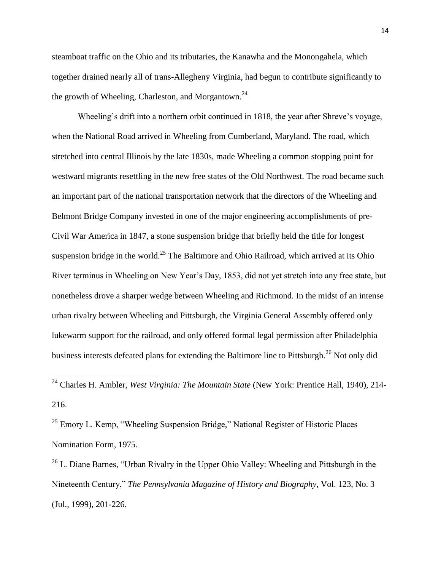steamboat traffic on the Ohio and its tributaries, the Kanawha and the Monongahela, which together drained nearly all of trans-Allegheny Virginia, had begun to contribute significantly to the growth of Wheeling, Charleston, and Morgantown.<sup>24</sup>

Wheeling's drift into a northern orbit continued in 1818, the year after Shreve's voyage, when the National Road arrived in Wheeling from Cumberland, Maryland. The road, which stretched into central Illinois by the late 1830s, made Wheeling a common stopping point for westward migrants resettling in the new free states of the Old Northwest. The road became such an important part of the national transportation network that the directors of the Wheeling and Belmont Bridge Company invested in one of the major engineering accomplishments of pre-Civil War America in 1847, a stone suspension bridge that briefly held the title for longest suspension bridge in the world.<sup>25</sup> The Baltimore and Ohio Railroad, which arrived at its Ohio River terminus in Wheeling on New Year's Day, 1853, did not yet stretch into any free state, but nonetheless drove a sharper wedge between Wheeling and Richmond. In the midst of an intense urban rivalry between Wheeling and Pittsburgh, the Virginia General Assembly offered only lukewarm support for the railroad, and only offered formal legal permission after Philadelphia business interests defeated plans for extending the Baltimore line to Pittsburgh.<sup>26</sup> Not only did

 $^{25}$  Emory L. Kemp, "Wheeling Suspension Bridge," National Register of Historic Places Nomination Form, 1975.

 $\overline{a}$ 

<sup>26</sup> L. Diane Barnes, "Urban Rivalry in the Upper Ohio Valley: Wheeling and Pittsburgh in the Nineteenth Century," *The Pennsylvania Magazine of History and Biography*, Vol. 123, No. 3 (Jul., 1999), 201-226.

<sup>24</sup> Charles H. Ambler, *West Virginia: The Mountain State* (New York: Prentice Hall, 1940), 214- 216.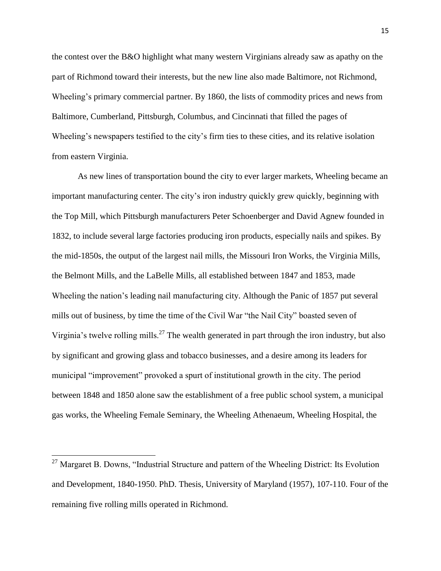the contest over the B&O highlight what many western Virginians already saw as apathy on the part of Richmond toward their interests, but the new line also made Baltimore, not Richmond, Wheeling's primary commercial partner. By 1860, the lists of commodity prices and news from Baltimore, Cumberland, Pittsburgh, Columbus, and Cincinnati that filled the pages of Wheeling's newspapers testified to the city's firm ties to these cities, and its relative isolation from eastern Virginia.

As new lines of transportation bound the city to ever larger markets, Wheeling became an important manufacturing center. The city's iron industry quickly grew quickly, beginning with the Top Mill, which Pittsburgh manufacturers Peter Schoenberger and David Agnew founded in 1832, to include several large factories producing iron products, especially nails and spikes. By the mid-1850s, the output of the largest nail mills, the Missouri Iron Works, the Virginia Mills, the Belmont Mills, and the LaBelle Mills, all established between 1847 and 1853, made Wheeling the nation's leading nail manufacturing city. Although the Panic of 1857 put several mills out of business, by time the time of the Civil War "the Nail City" boasted seven of Virginia's twelve rolling mills.<sup>27</sup> The wealth generated in part through the iron industry, but also by significant and growing glass and tobacco businesses, and a desire among its leaders for municipal "improvement" provoked a spurt of institutional growth in the city. The period between 1848 and 1850 alone saw the establishment of a free public school system, a municipal gas works, the Wheeling Female Seminary, the Wheeling Athenaeum, Wheeling Hospital, the

 $27$  Margaret B. Downs, "Industrial Structure and pattern of the Wheeling District: Its Evolution and Development, 1840-1950. PhD. Thesis, University of Maryland (1957), 107-110. Four of the remaining five rolling mills operated in Richmond.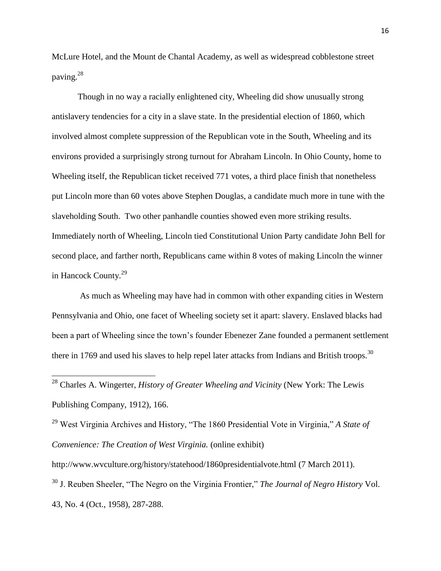McLure Hotel, and the Mount de Chantal Academy, as well as widespread cobblestone street paving. 28

Though in no way a racially enlightened city, Wheeling did show unusually strong antislavery tendencies for a city in a slave state. In the presidential election of 1860, which involved almost complete suppression of the Republican vote in the South, Wheeling and its environs provided a surprisingly strong turnout for Abraham Lincoln. In Ohio County, home to Wheeling itself, the Republican ticket received 771 votes, a third place finish that nonetheless put Lincoln more than 60 votes above Stephen Douglas, a candidate much more in tune with the slaveholding South. Two other panhandle counties showed even more striking results. Immediately north of Wheeling, Lincoln tied Constitutional Union Party candidate John Bell for second place, and farther north, Republicans came within 8 votes of making Lincoln the winner in Hancock County.<sup>29</sup>

As much as Wheeling may have had in common with other expanding cities in Western Pennsylvania and Ohio, one facet of Wheeling society set it apart: slavery. Enslaved blacks had been a part of Wheeling since the town's founder Ebenezer Zane founded a permanent settlement there in 1769 and used his slaves to help repel later attacks from Indians and British troops.<sup>30</sup>

<sup>28</sup> Charles A. Wingerter, *History of Greater Wheeling and Vicinity* (New York: The Lewis Publishing Company, 1912), 166.

 $\overline{a}$ 

<sup>29</sup> West Virginia Archives and History, "The 1860 Presidential Vote in Virginia," *A State of Convenience: The Creation of West Virginia.* (online exhibit)

http://www.wvculture.org/history/statehood/1860presidentialvote.html (7 March 2011).

<sup>30</sup> J. Reuben Sheeler, "The Negro on the Virginia Frontier," *The Journal of Negro History* Vol. 43, No. 4 (Oct., 1958), 287-288.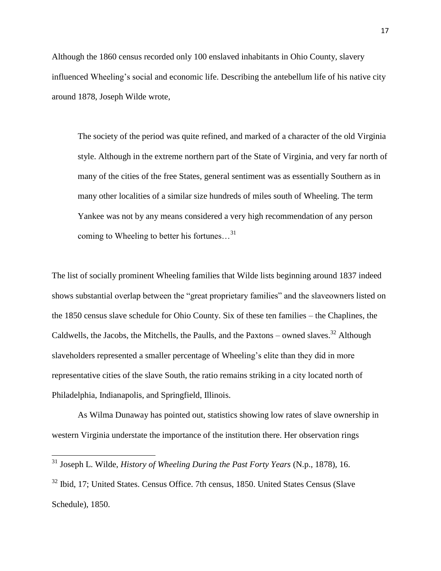Although the 1860 census recorded only 100 enslaved inhabitants in Ohio County, slavery influenced Wheeling's social and economic life. Describing the antebellum life of his native city around 1878, Joseph Wilde wrote,

The society of the period was quite refined, and marked of a character of the old Virginia style. Although in the extreme northern part of the State of Virginia, and very far north of many of the cities of the free States, general sentiment was as essentially Southern as in many other localities of a similar size hundreds of miles south of Wheeling. The term Yankee was not by any means considered a very high recommendation of any person coming to Wheeling to better his fortunes...<sup>31</sup>

The list of socially prominent Wheeling families that Wilde lists beginning around 1837 indeed shows substantial overlap between the "great proprietary families" and the slaveowners listed on the 1850 census slave schedule for Ohio County. Six of these ten families – the Chaplines, the Caldwells, the Jacobs, the Mitchells, the Paulls, and the Paxtons – owned slaves.<sup>32</sup> Although slaveholders represented a smaller percentage of Wheeling's elite than they did in more representative cities of the slave South, the ratio remains striking in a city located north of Philadelphia, Indianapolis, and Springfield, Illinois.

As Wilma Dunaway has pointed out, statistics showing low rates of slave ownership in western Virginia understate the importance of the institution there. Her observation rings

 $\overline{\phantom{a}}$ 

 $32$  Ibid, 17; United States. Census Office. 7th census, 1850. United States Census (Slave) Schedule), 1850.

<sup>31</sup> Joseph L. Wilde, *History of Wheeling During the Past Forty Years* (N.p., 1878), 16.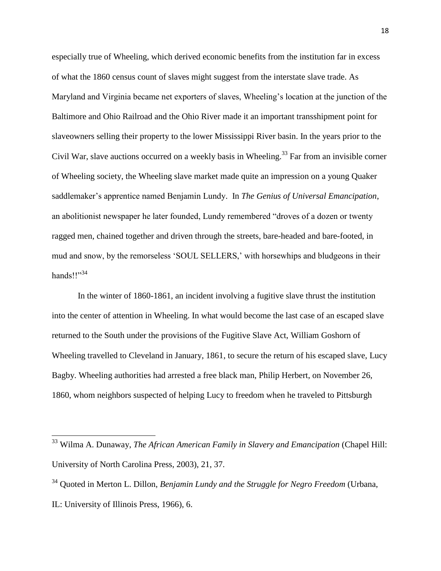especially true of Wheeling, which derived economic benefits from the institution far in excess of what the 1860 census count of slaves might suggest from the interstate slave trade. As Maryland and Virginia became net exporters of slaves, Wheeling's location at the junction of the Baltimore and Ohio Railroad and the Ohio River made it an important transshipment point for slaveowners selling their property to the lower Mississippi River basin. In the years prior to the Civil War, slave auctions occurred on a weekly basis in Wheeling.<sup>33</sup> Far from an invisible corner of Wheeling society, the Wheeling slave market made quite an impression on a young Quaker saddlemaker's apprentice named Benjamin Lundy. In *The Genius of Universal Emancipation*, an abolitionist newspaper he later founded, Lundy remembered "droves of a dozen or twenty ragged men, chained together and driven through the streets, bare-headed and bare-footed, in mud and snow, by the remorseless 'SOUL SELLERS,' with horsewhips and bludgeons in their hands! $1^{34}$ 

In the winter of 1860-1861, an incident involving a fugitive slave thrust the institution into the center of attention in Wheeling. In what would become the last case of an escaped slave returned to the South under the provisions of the Fugitive Slave Act, William Goshorn of Wheeling travelled to Cleveland in January, 1861, to secure the return of his escaped slave, Lucy Bagby. Wheeling authorities had arrested a free black man, Philip Herbert, on November 26, 1860, whom neighbors suspected of helping Lucy to freedom when he traveled to Pittsburgh

<sup>33</sup> Wilma A. Dunaway, *The African American Family in Slavery and Emancipation* (Chapel Hill: University of North Carolina Press, 2003), 21, 37.

<sup>34</sup> Quoted in Merton L. Dillon, *Benjamin Lundy and the Struggle for Negro Freedom* (Urbana, IL: University of Illinois Press, 1966), 6.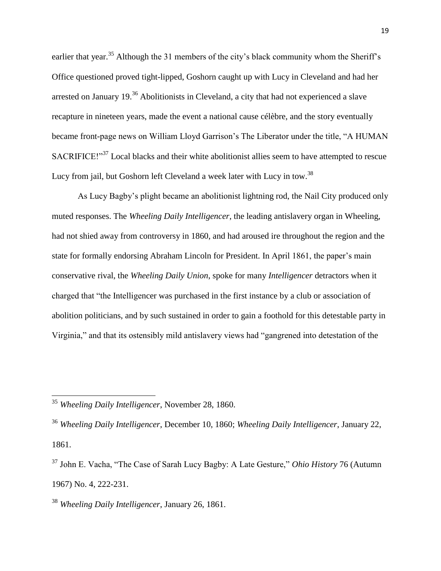earlier that year.<sup>35</sup> Although the 31 members of the city's black community whom the Sheriff's Office questioned proved tight-lipped, Goshorn caught up with Lucy in Cleveland and had her arrested on January 19<sup>36</sup> Abolitionists in Cleveland, a city that had not experienced a slave recapture in nineteen years, made the event a national cause célèbre, and the story eventually became front-page news on William Lloyd Garrison's The Liberator under the title, "A HUMAN SACRIFICE!"<sup>37</sup> Local blacks and their white abolitionist allies seem to have attempted to rescue Lucy from jail, but Goshorn left Cleveland a week later with Lucy in tow.<sup>38</sup>

As Lucy Bagby's plight became an abolitionist lightning rod, the Nail City produced only muted responses. The *Wheeling Daily Intelligencer*, the leading antislavery organ in Wheeling, had not shied away from controversy in 1860, and had aroused ire throughout the region and the state for formally endorsing Abraham Lincoln for President. In April 1861, the paper's main conservative rival, the *Wheeling Daily Union*, spoke for many *Intelligencer* detractors when it charged that "the Intelligencer was purchased in the first instance by a club or association of abolition politicians, and by such sustained in order to gain a foothold for this detestable party in Virginia," and that its ostensibly mild antislavery views had "gangrened into detestation of the

<sup>35</sup> *Wheeling Daily Intelligencer*, November 28, 1860.

<sup>36</sup> *Wheeling Daily Intelligencer*, December 10, 1860; *Wheeling Daily Intelligencer*, January 22, 1861.

<sup>&</sup>lt;sup>37</sup> John E. Vacha, "The Case of Sarah Lucy Bagby: A Late Gesture," *Ohio History* 76 (Autumn 1967) No. 4, 222-231.

<sup>38</sup> *Wheeling Daily Intelligencer*, January 26, 1861.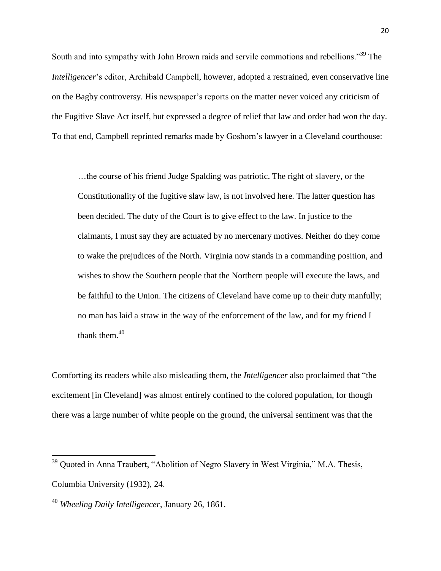South and into sympathy with John Brown raids and servile commotions and rebellions.<sup>39</sup> The *Intelligencer*'s editor, Archibald Campbell, however, adopted a restrained, even conservative line on the Bagby controversy. His newspaper's reports on the matter never voiced any criticism of the Fugitive Slave Act itself, but expressed a degree of relief that law and order had won the day. To that end, Campbell reprinted remarks made by Goshorn's lawyer in a Cleveland courthouse:

…the course of his friend Judge Spalding was patriotic. The right of slavery, or the Constitutionality of the fugitive slaw law, is not involved here. The latter question has been decided. The duty of the Court is to give effect to the law. In justice to the claimants, I must say they are actuated by no mercenary motives. Neither do they come to wake the prejudices of the North. Virginia now stands in a commanding position, and wishes to show the Southern people that the Northern people will execute the laws, and be faithful to the Union. The citizens of Cleveland have come up to their duty manfully; no man has laid a straw in the way of the enforcement of the law, and for my friend I thank them. $40$ 

Comforting its readers while also misleading them, the *Intelligencer* also proclaimed that "the excitement [in Cleveland] was almost entirely confined to the colored population, for though there was a large number of white people on the ground, the universal sentiment was that the

 $39$  Quoted in Anna Traubert, "Abolition of Negro Slavery in West Virginia," M.A. Thesis, Columbia University (1932), 24.

<sup>40</sup> *Wheeling Daily Intelligencer*, January 26, 1861.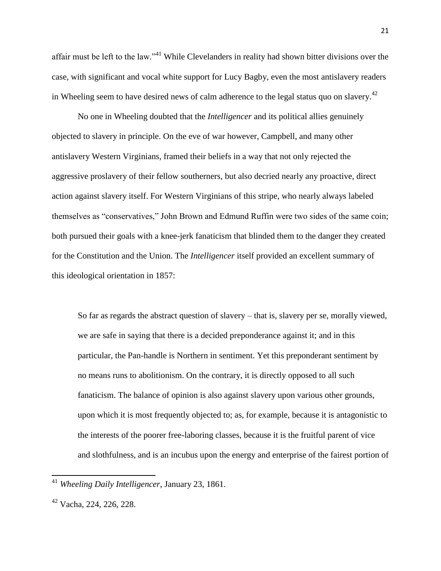affair must be left to the law."<sup>41</sup> While Clevelanders in reality had shown bitter divisions over the case, with significant and vocal white support for Lucy Bagby, even the most antislavery readers in Wheeling seem to have desired news of calm adherence to the legal status quo on slavery.<sup>42</sup>

No one in Wheeling doubted that the *Intelligencer* and its political allies genuinely objected to slavery in principle. On the eve of war however, Campbell, and many other antislavery Western Virginians, framed their beliefs in a way that not only rejected the aggressive proslavery of their fellow southerners, but also decried nearly any proactive, direct action against slavery itself. For Western Virginians of this stripe, who nearly always labeled themselves as "conservatives," John Brown and Edmund Ruffin were two sides of the same coin; both pursued their goals with a knee-jerk fanaticism that blinded them to the danger they created for the Constitution and the Union. The *Intelligencer* itself provided an excellent summary of this ideological orientation in 1857:

So far as regards the abstract question of slavery – that is, slavery per se, morally viewed, we are safe in saying that there is a decided preponderance against it; and in this particular, the Pan-handle is Northern in sentiment. Yet this preponderant sentiment by no means runs to abolitionism. On the contrary, it is directly opposed to all such fanaticism. The balance of opinion is also against slavery upon various other grounds, upon which it is most frequently objected to; as, for example, because it is antagonistic to the interests of the poorer free-laboring classes, because it is the fruitful parent of vice and slothfulness, and is an incubus upon the energy and enterprise of the fairest portion of

<sup>41</sup> *Wheeling Daily Intelligencer*, January 23, 1861.

 $42$  Vacha, 224, 226, 228.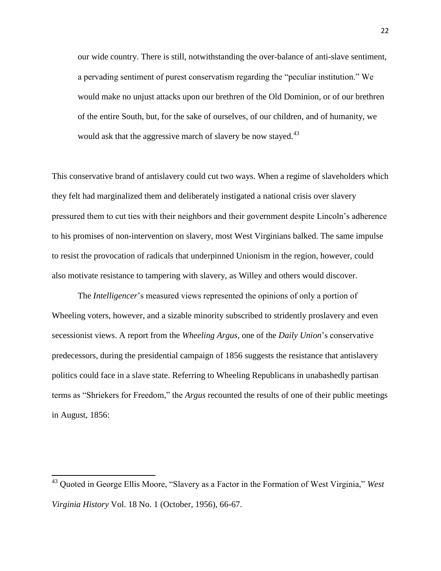our wide country. There is still, notwithstanding the over-balance of anti-slave sentiment, a pervading sentiment of purest conservatism regarding the "peculiar institution." We would make no unjust attacks upon our brethren of the Old Dominion, or of our brethren of the entire South, but, for the sake of ourselves, of our children, and of humanity, we would ask that the aggressive march of slavery be now stayed.<sup>43</sup>

This conservative brand of antislavery could cut two ways. When a regime of slaveholders which they felt had marginalized them and deliberately instigated a national crisis over slavery pressured them to cut ties with their neighbors and their government despite Lincoln's adherence to his promises of non-intervention on slavery, most West Virginians balked. The same impulse to resist the provocation of radicals that underpinned Unionism in the region, however, could also motivate resistance to tampering with slavery, as Willey and others would discover.

The *Intelligencer*'s measured views represented the opinions of only a portion of Wheeling voters, however, and a sizable minority subscribed to stridently proslavery and even secessionist views. A report from the *Wheeling Argus*, one of the *Daily Union*'s conservative predecessors, during the presidential campaign of 1856 suggests the resistance that antislavery politics could face in a slave state. Referring to Wheeling Republicans in unabashedly partisan terms as "Shriekers for Freedom," the *Argus* recounted the results of one of their public meetings in August, 1856:

<sup>&</sup>lt;sup>43</sup> Quoted in George Ellis Moore, "Slavery as a Factor in the Formation of West Virginia," *West Virginia History* Vol. 18 No. 1 (October, 1956), 66-67.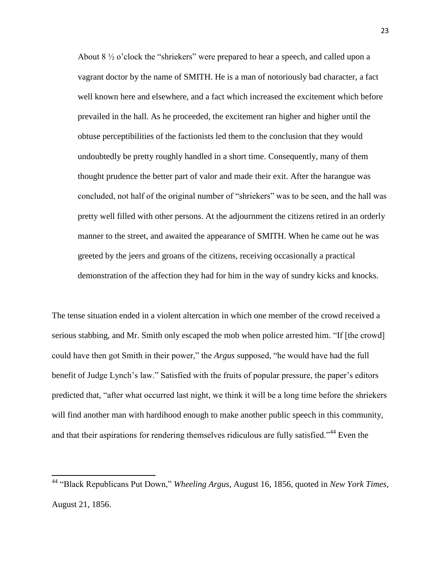About  $8\frac{1}{2}$  o'clock the "shriekers" were prepared to hear a speech, and called upon a vagrant doctor by the name of SMITH. He is a man of notoriously bad character, a fact well known here and elsewhere, and a fact which increased the excitement which before prevailed in the hall. As he proceeded, the excitement ran higher and higher until the obtuse perceptibilities of the factionists led them to the conclusion that they would undoubtedly be pretty roughly handled in a short time. Consequently, many of them thought prudence the better part of valor and made their exit. After the harangue was concluded, not half of the original number of "shriekers" was to be seen, and the hall was pretty well filled with other persons. At the adjournment the citizens retired in an orderly manner to the street, and awaited the appearance of SMITH. When he came out he was greeted by the jeers and groans of the citizens, receiving occasionally a practical demonstration of the affection they had for him in the way of sundry kicks and knocks.

The tense situation ended in a violent altercation in which one member of the crowd received a serious stabbing, and Mr. Smith only escaped the mob when police arrested him. "If [the crowd] could have then got Smith in their power," the *Argus* supposed, "he would have had the full benefit of Judge Lynch's law." Satisfied with the fruits of popular pressure, the paper's editors predicted that, "after what occurred last night, we think it will be a long time before the shriekers will find another man with hardihood enough to make another public speech in this community, and that their aspirations for rendering themselves ridiculous are fully satisfied."<sup>44</sup> Even the

<sup>&</sup>lt;sup>44</sup> "Black Republicans Put Down," *Wheeling Argus*, August 16, 1856, quoted in *New York Times*, August 21, 1856.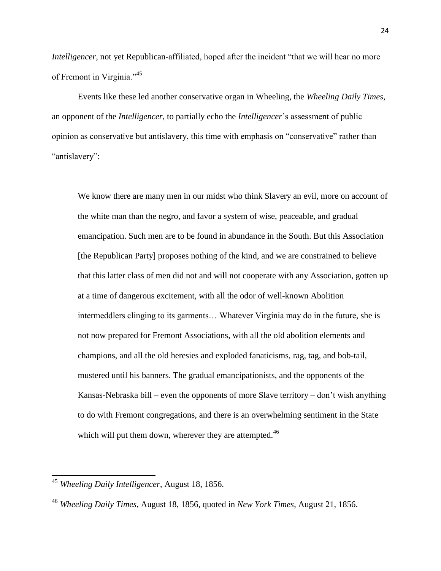*Intelligencer*, not yet Republican-affiliated, hoped after the incident "that we will hear no more of Fremont in Virginia."<sup>45</sup>

Events like these led another conservative organ in Wheeling, the *Wheeling Daily Times*, an opponent of the *Intelligencer*, to partially echo the *Intelligencer*'s assessment of public opinion as conservative but antislavery, this time with emphasis on "conservative" rather than "antislavery":

We know there are many men in our midst who think Slavery an evil, more on account of the white man than the negro, and favor a system of wise, peaceable, and gradual emancipation. Such men are to be found in abundance in the South. But this Association [the Republican Party] proposes nothing of the kind, and we are constrained to believe that this latter class of men did not and will not cooperate with any Association, gotten up at a time of dangerous excitement, with all the odor of well-known Abolition intermeddlers clinging to its garments… Whatever Virginia may do in the future, she is not now prepared for Fremont Associations, with all the old abolition elements and champions, and all the old heresies and exploded fanaticisms, rag, tag, and bob-tail, mustered until his banners. The gradual emancipationists, and the opponents of the Kansas-Nebraska bill – even the opponents of more Slave territory – don't wish anything to do with Fremont congregations, and there is an overwhelming sentiment in the State which will put them down, wherever they are attempted. $46$ 

<sup>45</sup> *Wheeling Daily Intelligencer*, August 18, 1856.

<sup>46</sup> *Wheeling Daily Times*, August 18, 1856, quoted in *New York Times*, August 21, 1856.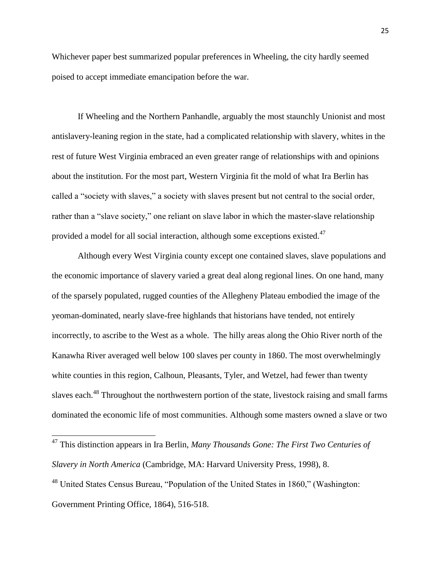Whichever paper best summarized popular preferences in Wheeling, the city hardly seemed poised to accept immediate emancipation before the war.

If Wheeling and the Northern Panhandle, arguably the most staunchly Unionist and most antislavery-leaning region in the state, had a complicated relationship with slavery, whites in the rest of future West Virginia embraced an even greater range of relationships with and opinions about the institution. For the most part, Western Virginia fit the mold of what Ira Berlin has called a "society with slaves," a society with slaves present but not central to the social order, rather than a "slave society," one reliant on slave labor in which the master-slave relationship provided a model for all social interaction, although some exceptions existed.<sup>47</sup>

Although every West Virginia county except one contained slaves, slave populations and the economic importance of slavery varied a great deal along regional lines. On one hand, many of the sparsely populated, rugged counties of the Allegheny Plateau embodied the image of the yeoman-dominated, nearly slave-free highlands that historians have tended, not entirely incorrectly, to ascribe to the West as a whole. The hilly areas along the Ohio River north of the Kanawha River averaged well below 100 slaves per county in 1860. The most overwhelmingly white counties in this region, Calhoun, Pleasants, Tyler, and Wetzel, had fewer than twenty slaves each.<sup>48</sup> Throughout the northwestern portion of the state, livestock raising and small farms dominated the economic life of most communities. Although some masters owned a slave or two

<sup>47</sup> This distinction appears in Ira Berlin, *Many Thousands Gone: The First Two Centuries of Slavery in North America* (Cambridge, MA: Harvard University Press, 1998), 8.

 $48$  United States Census Bureau, "Population of the United States in 1860," (Washington:

Government Printing Office, 1864), 516-518.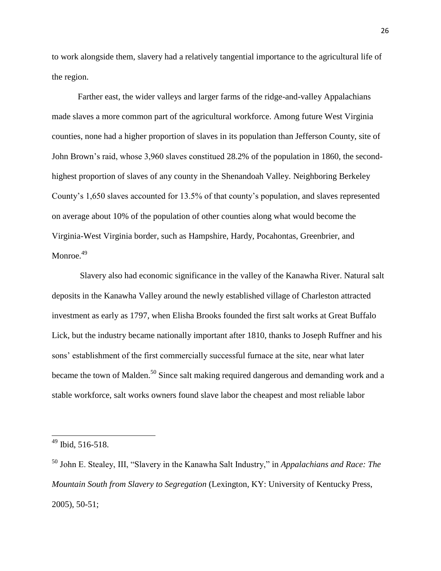to work alongside them, slavery had a relatively tangential importance to the agricultural life of the region.

Farther east, the wider valleys and larger farms of the ridge-and-valley Appalachians made slaves a more common part of the agricultural workforce. Among future West Virginia counties, none had a higher proportion of slaves in its population than Jefferson County, site of John Brown's raid, whose 3,960 slaves constitued 28.2% of the population in 1860, the secondhighest proportion of slaves of any county in the Shenandoah Valley. Neighboring Berkeley County's 1,650 slaves accounted for 13.5% of that county's population, and slaves represented on average about 10% of the population of other counties along what would become the Virginia-West Virginia border, such as Hampshire, Hardy, Pocahontas, Greenbrier, and Monroe.<sup>49</sup>

Slavery also had economic significance in the valley of the Kanawha River. Natural salt deposits in the Kanawha Valley around the newly established village of Charleston attracted investment as early as 1797, when Elisha Brooks founded the first salt works at Great Buffalo Lick, but the industry became nationally important after 1810, thanks to Joseph Ruffner and his sons' establishment of the first commercially successful furnace at the site, near what later became the town of Malden.<sup>50</sup> Since salt making required dangerous and demanding work and a stable workforce, salt works owners found slave labor the cheapest and most reliable labor

 $49$  Ibid, 516-518.

<sup>&</sup>lt;sup>50</sup> John E. Stealey, III, "Slavery in the Kanawha Salt Industry," in *Appalachians and Race: The Mountain South from Slavery to Segregation* (Lexington, KY: University of Kentucky Press, 2005), 50-51;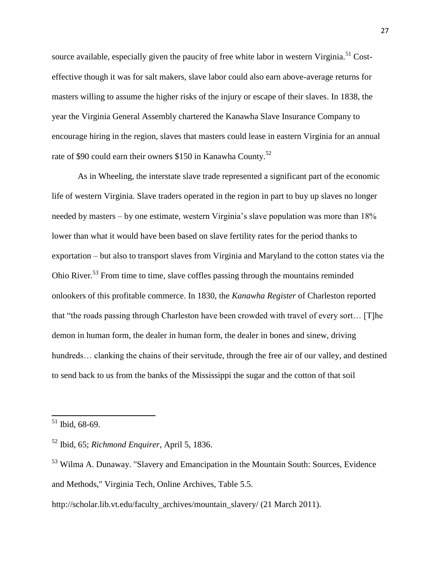source available, especially given the paucity of free white labor in western Virginia.<sup>51</sup> Costeffective though it was for salt makers, slave labor could also earn above-average returns for masters willing to assume the higher risks of the injury or escape of their slaves. In 1838, the year the Virginia General Assembly chartered the Kanawha Slave Insurance Company to encourage hiring in the region, slaves that masters could lease in eastern Virginia for an annual rate of \$90 could earn their owners \$150 in Kanawha County.<sup>52</sup>

As in Wheeling, the interstate slave trade represented a significant part of the economic life of western Virginia. Slave traders operated in the region in part to buy up slaves no longer needed by masters – by one estimate, western Virginia's slave population was more than 18% lower than what it would have been based on slave fertility rates for the period thanks to exportation – but also to transport slaves from Virginia and Maryland to the cotton states via the Ohio River.<sup>53</sup> From time to time, slave coffles passing through the mountains reminded onlookers of this profitable commerce. In 1830, the *Kanawha Register* of Charleston reported that "the roads passing through Charleston have been crowded with travel of every sort... [T]he demon in human form, the dealer in human form, the dealer in bones and sinew, driving hundreds... clanking the chains of their servitude, through the free air of our valley, and destined to send back to us from the banks of the Mississippi the sugar and the cotton of that soil

 $51$  Ibid, 68-69.

<sup>52</sup> Ibid, 65; *Richmond Enquirer*, April 5, 1836.

<sup>53</sup> Wilma A. Dunaway. "Slavery and Emancipation in the Mountain South: Sources, Evidence and Methods," Virginia Tech, Online Archives, Table 5.5.

http://scholar.lib.vt.edu/faculty\_archives/mountain\_slavery/ (21 March 2011).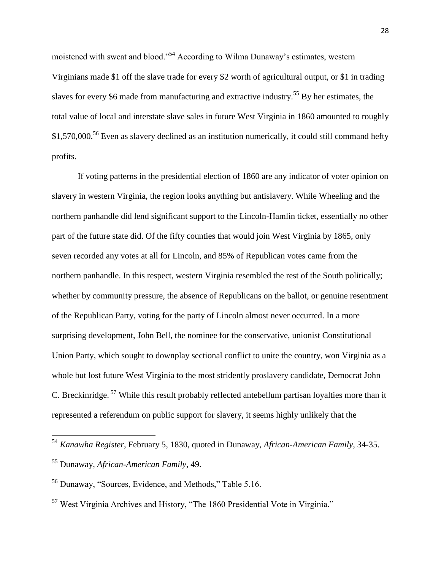moistened with sweat and blood."<sup>54</sup> According to Wilma Dunaway's estimates, western Virginians made \$1 off the slave trade for every \$2 worth of agricultural output, or \$1 in trading slaves for every \$6 made from manufacturing and extractive industry.<sup>55</sup> By her estimates, the total value of local and interstate slave sales in future West Virginia in 1860 amounted to roughly \$1,570,000.<sup>56</sup> Even as slavery declined as an institution numerically, it could still command hefty profits.

If voting patterns in the presidential election of 1860 are any indicator of voter opinion on slavery in western Virginia, the region looks anything but antislavery. While Wheeling and the northern panhandle did lend significant support to the Lincoln-Hamlin ticket, essentially no other part of the future state did. Of the fifty counties that would join West Virginia by 1865, only seven recorded any votes at all for Lincoln, and 85% of Republican votes came from the northern panhandle. In this respect, western Virginia resembled the rest of the South politically; whether by community pressure, the absence of Republicans on the ballot, or genuine resentment of the Republican Party, voting for the party of Lincoln almost never occurred. In a more surprising development, John Bell, the nominee for the conservative, unionist Constitutional Union Party, which sought to downplay sectional conflict to unite the country, won Virginia as a whole but lost future West Virginia to the most stridently proslavery candidate, Democrat John C. Breckinridge. <sup>57</sup> While this result probably reflected antebellum partisan loyalties more than it represented a referendum on public support for slavery, it seems highly unlikely that the

<sup>54</sup> *Kanawha Register*, February 5, 1830, quoted in Dunaway, *African-American Family*, 34-35.

<sup>55</sup> Dunaway, *African-American Family*, 49.

<sup>&</sup>lt;sup>56</sup> Dunaway, "Sources, Evidence, and Methods," Table 5.16.

 $57$  West Virginia Archives and History, "The 1860 Presidential Vote in Virginia."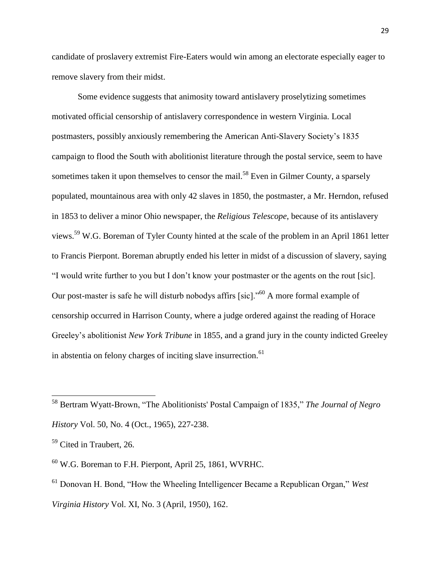candidate of proslavery extremist Fire-Eaters would win among an electorate especially eager to remove slavery from their midst.

Some evidence suggests that animosity toward antislavery proselytizing sometimes motivated official censorship of antislavery correspondence in western Virginia. Local postmasters, possibly anxiously remembering the American Anti-Slavery Society's 1835 campaign to flood the South with abolitionist literature through the postal service, seem to have sometimes taken it upon themselves to censor the mail.<sup>58</sup> Even in Gilmer County, a sparsely populated, mountainous area with only 42 slaves in 1850, the postmaster, a Mr. Herndon, refused in 1853 to deliver a minor Ohio newspaper, the *Religious Telescope*, because of its antislavery views.<sup>59</sup> W.G. Boreman of Tyler County hinted at the scale of the problem in an April 1861 letter to Francis Pierpont. Boreman abruptly ended his letter in midst of a discussion of slavery, saying ―I would write further to you but I don't know your postmaster or the agents on the rout [sic]. Our post-master is safe he will disturb nobodys affirs [sic]. $^{60}$  A more formal example of censorship occurred in Harrison County, where a judge ordered against the reading of Horace Greeley's abolitionist *New York Tribune* in 1855, and a grand jury in the county indicted Greeley in abstentia on felony charges of inciting slave insurrection.<sup>61</sup>

<sup>&</sup>lt;sup>58</sup> Bertram Wyatt-Brown, "The Abolitionists' Postal Campaign of 1835," The Journal of Negro *History* Vol. 50, No. 4 (Oct., 1965), 227-238.

<sup>&</sup>lt;sup>59</sup> Cited in Traubert, 26.

 $60$  W.G. Boreman to F.H. Pierpont, April 25, 1861, WVRHC.

<sup>&</sup>lt;sup>61</sup> Donovan H. Bond, "How the Wheeling Intelligencer Became a Republican Organ," *West Virginia History* Vol. XI, No. 3 (April, 1950), 162.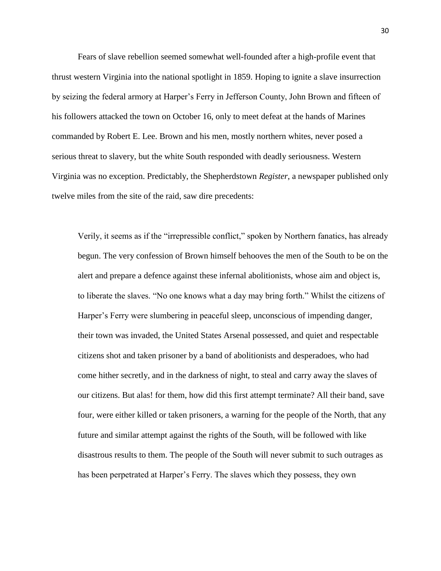Fears of slave rebellion seemed somewhat well-founded after a high-profile event that thrust western Virginia into the national spotlight in 1859. Hoping to ignite a slave insurrection by seizing the federal armory at Harper's Ferry in Jefferson County, John Brown and fifteen of his followers attacked the town on October 16, only to meet defeat at the hands of Marines commanded by Robert E. Lee. Brown and his men, mostly northern whites, never posed a serious threat to slavery, but the white South responded with deadly seriousness. Western Virginia was no exception. Predictably, the Shepherdstown *Register*, a newspaper published only twelve miles from the site of the raid, saw dire precedents:

Verily, it seems as if the "irrepressible conflict," spoken by Northern fanatics, has already begun. The very confession of Brown himself behooves the men of the South to be on the alert and prepare a defence against these infernal abolitionists, whose aim and object is, to liberate the slaves. "No one knows what a day may bring forth." Whilst the citizens of Harper's Ferry were slumbering in peaceful sleep, unconscious of impending danger, their town was invaded, the United States Arsenal possessed, and quiet and respectable citizens shot and taken prisoner by a band of abolitionists and desperadoes, who had come hither secretly, and in the darkness of night, to steal and carry away the slaves of our citizens. But alas! for them, how did this first attempt terminate? All their band, save four, were either killed or taken prisoners, a warning for the people of the North, that any future and similar attempt against the rights of the South, will be followed with like disastrous results to them. The people of the South will never submit to such outrages as has been perpetrated at Harper's Ferry. The slaves which they possess, they own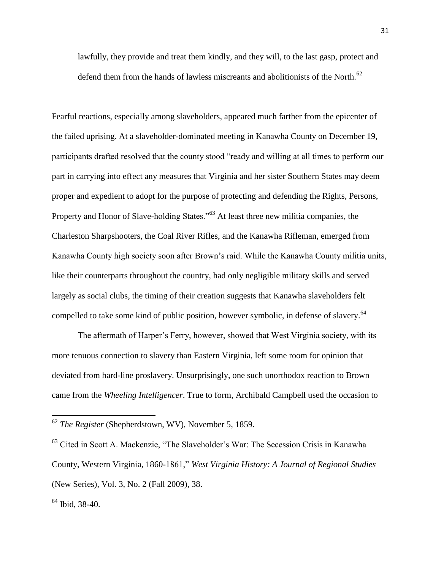lawfully, they provide and treat them kindly, and they will, to the last gasp, protect and defend them from the hands of lawless miscreants and abolitionists of the North.<sup>62</sup>

Fearful reactions, especially among slaveholders, appeared much farther from the epicenter of the failed uprising. At a slaveholder-dominated meeting in Kanawha County on December 19, participants drafted resolved that the county stood "ready and willing at all times to perform our part in carrying into effect any measures that Virginia and her sister Southern States may deem proper and expedient to adopt for the purpose of protecting and defending the Rights, Persons, Property and Honor of Slave-holding States.<sup>553</sup> At least three new militia companies, the Charleston Sharpshooters, the Coal River Rifles, and the Kanawha Rifleman, emerged from Kanawha County high society soon after Brown's raid. While the Kanawha County militia units, like their counterparts throughout the country, had only negligible military skills and served largely as social clubs, the timing of their creation suggests that Kanawha slaveholders felt compelled to take some kind of public position, however symbolic, in defense of slavery.<sup>64</sup>

The aftermath of Harper's Ferry, however, showed that West Virginia society, with its more tenuous connection to slavery than Eastern Virginia, left some room for opinion that deviated from hard-line proslavery. Unsurprisingly, one such unorthodox reaction to Brown came from the *Wheeling Intelligencer*. True to form, Archibald Campbell used the occasion to

<sup>62</sup> *The Register* (Shepherdstown, WV), November 5, 1859.

<sup>&</sup>lt;sup>63</sup> Cited in Scott A. Mackenzie, "The Slaveholder's War: The Secession Crisis in Kanawha County, Western Virginia, 1860-1861," West Virginia History: A Journal of Regional Studies (New Series), Vol. 3, No. 2 (Fall 2009), 38.

<sup>64</sup> Ibid, 38-40.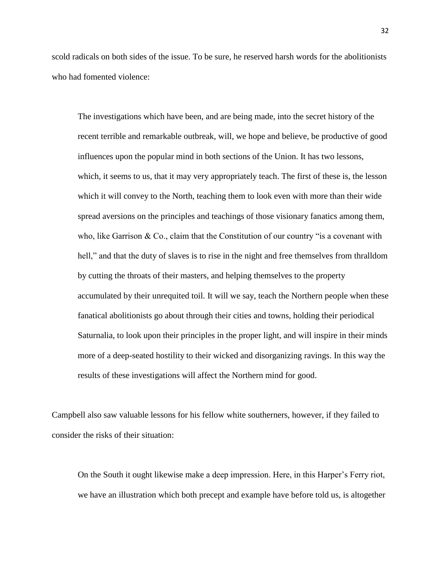scold radicals on both sides of the issue. To be sure, he reserved harsh words for the abolitionists who had fomented violence:

The investigations which have been, and are being made, into the secret history of the recent terrible and remarkable outbreak, will, we hope and believe, be productive of good influences upon the popular mind in both sections of the Union. It has two lessons, which, it seems to us, that it may very appropriately teach. The first of these is, the lesson which it will convey to the North, teaching them to look even with more than their wide spread aversions on the principles and teachings of those visionary fanatics among them, who, like Garrison & Co., claim that the Constitution of our country "is a covenant with hell," and that the duty of slaves is to rise in the night and free themselves from thralldom by cutting the throats of their masters, and helping themselves to the property accumulated by their unrequited toil. It will we say, teach the Northern people when these fanatical abolitionists go about through their cities and towns, holding their periodical Saturnalia, to look upon their principles in the proper light, and will inspire in their minds more of a deep-seated hostility to their wicked and disorganizing ravings. In this way the results of these investigations will affect the Northern mind for good.

Campbell also saw valuable lessons for his fellow white southerners, however, if they failed to consider the risks of their situation:

On the South it ought likewise make a deep impression. Here, in this Harper's Ferry riot, we have an illustration which both precept and example have before told us, is altogether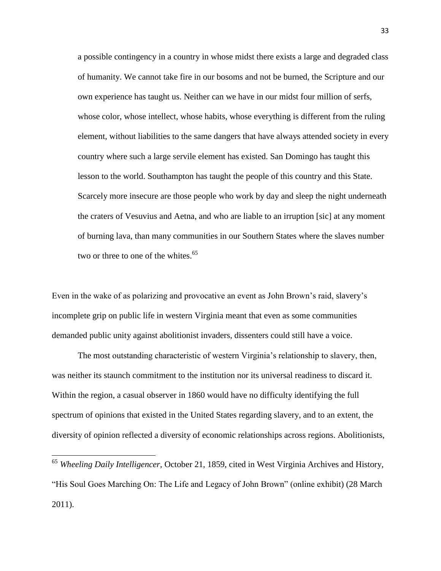a possible contingency in a country in whose midst there exists a large and degraded class of humanity. We cannot take fire in our bosoms and not be burned, the Scripture and our own experience has taught us. Neither can we have in our midst four million of serfs, whose color, whose intellect, whose habits, whose everything is different from the ruling element, without liabilities to the same dangers that have always attended society in every country where such a large servile element has existed. San Domingo has taught this lesson to the world. Southampton has taught the people of this country and this State. Scarcely more insecure are those people who work by day and sleep the night underneath the craters of Vesuvius and Aetna, and who are liable to an irruption [sic] at any moment of burning lava, than many communities in our Southern States where the slaves number two or three to one of the whites. $65$ 

Even in the wake of as polarizing and provocative an event as John Brown's raid, slavery's incomplete grip on public life in western Virginia meant that even as some communities demanded public unity against abolitionist invaders, dissenters could still have a voice.

The most outstanding characteristic of western Virginia's relationship to slavery, then, was neither its staunch commitment to the institution nor its universal readiness to discard it. Within the region, a casual observer in 1860 would have no difficulty identifying the full spectrum of opinions that existed in the United States regarding slavery, and to an extent, the diversity of opinion reflected a diversity of economic relationships across regions. Abolitionists,

<sup>65</sup> *Wheeling Daily Intelligencer*, October 21, 1859, cited in West Virginia Archives and History, ―His Soul Goes Marching On: The Life and Legacy of John Brown‖ (online exhibit) (28 March 2011).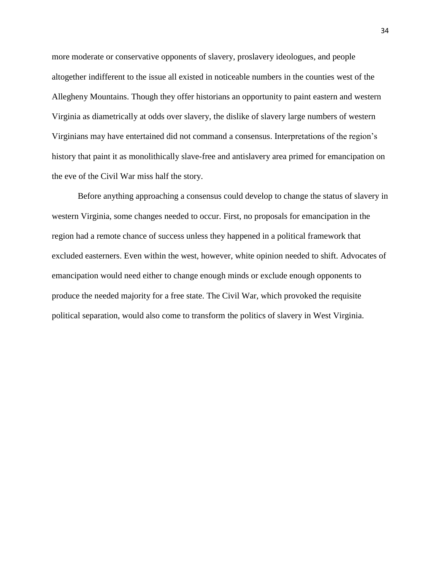more moderate or conservative opponents of slavery, proslavery ideologues, and people altogether indifferent to the issue all existed in noticeable numbers in the counties west of the Allegheny Mountains. Though they offer historians an opportunity to paint eastern and western Virginia as diametrically at odds over slavery, the dislike of slavery large numbers of western Virginians may have entertained did not command a consensus. Interpretations of the region's history that paint it as monolithically slave-free and antislavery area primed for emancipation on the eve of the Civil War miss half the story.

Before anything approaching a consensus could develop to change the status of slavery in western Virginia, some changes needed to occur. First, no proposals for emancipation in the region had a remote chance of success unless they happened in a political framework that excluded easterners. Even within the west, however, white opinion needed to shift. Advocates of emancipation would need either to change enough minds or exclude enough opponents to produce the needed majority for a free state. The Civil War, which provoked the requisite political separation, would also come to transform the politics of slavery in West Virginia.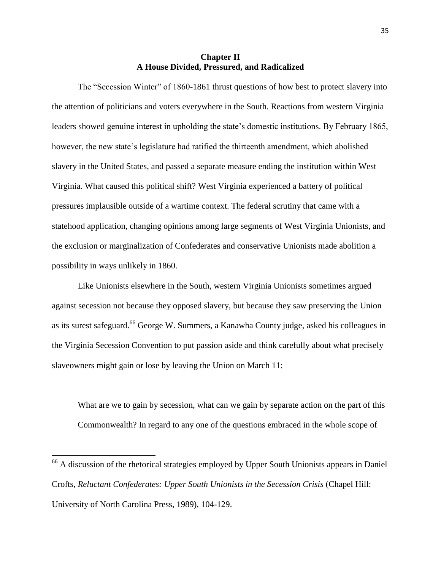## **Chapter II A House Divided, Pressured, and Radicalized**

The "Secession Winter" of 1860-1861 thrust questions of how best to protect slavery into the attention of politicians and voters everywhere in the South. Reactions from western Virginia leaders showed genuine interest in upholding the state's domestic institutions. By February 1865, however, the new state's legislature had ratified the thirteenth amendment, which abolished slavery in the United States, and passed a separate measure ending the institution within West Virginia. What caused this political shift? West Virginia experienced a battery of political pressures implausible outside of a wartime context. The federal scrutiny that came with a statehood application, changing opinions among large segments of West Virginia Unionists, and the exclusion or marginalization of Confederates and conservative Unionists made abolition a possibility in ways unlikely in 1860.

Like Unionists elsewhere in the South, western Virginia Unionists sometimes argued against secession not because they opposed slavery, but because they saw preserving the Union as its surest safeguard.<sup>66</sup> George W. Summers, a Kanawha County judge, asked his colleagues in the Virginia Secession Convention to put passion aside and think carefully about what precisely slaveowners might gain or lose by leaving the Union on March 11:

What are we to gain by secession, what can we gain by separate action on the part of this Commonwealth? In regard to any one of the questions embraced in the whole scope of

<sup>&</sup>lt;sup>66</sup> A discussion of the rhetorical strategies employed by Upper South Unionists appears in Daniel Crofts, *Reluctant Confederates: Upper South Unionists in the Secession Crisis* (Chapel Hill: University of North Carolina Press, 1989), 104-129.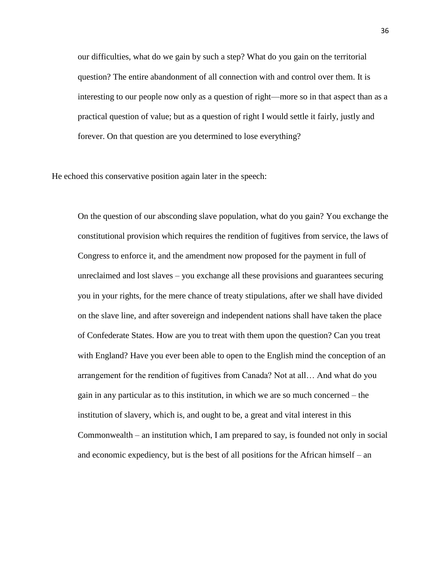our difficulties, what do we gain by such a step? What do you gain on the territorial question? The entire abandonment of all connection with and control over them. It is interesting to our people now only as a question of right—more so in that aspect than as a practical question of value; but as a question of right I would settle it fairly, justly and forever. On that question are you determined to lose everything?

He echoed this conservative position again later in the speech:

On the question of our absconding slave population, what do you gain? You exchange the constitutional provision which requires the rendition of fugitives from service, the laws of Congress to enforce it, and the amendment now proposed for the payment in full of unreclaimed and lost slaves – you exchange all these provisions and guarantees securing you in your rights, for the mere chance of treaty stipulations, after we shall have divided on the slave line, and after sovereign and independent nations shall have taken the place of Confederate States. How are you to treat with them upon the question? Can you treat with England? Have you ever been able to open to the English mind the conception of an arrangement for the rendition of fugitives from Canada? Not at all… And what do you gain in any particular as to this institution, in which we are so much concerned – the institution of slavery, which is, and ought to be, a great and vital interest in this Commonwealth – an institution which, I am prepared to say, is founded not only in social and economic expediency, but is the best of all positions for the African himself – an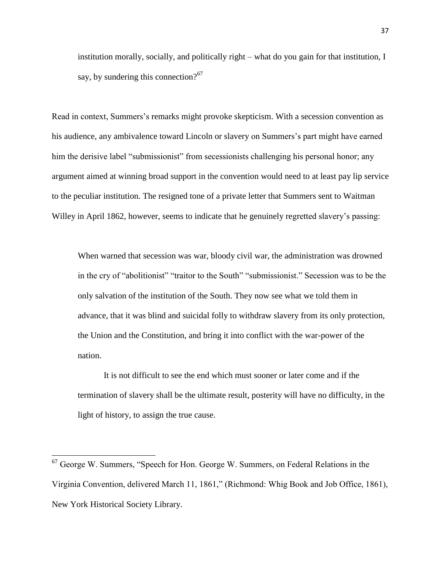institution morally, socially, and politically right – what do you gain for that institution, I say, by sundering this connection? $67$ 

Read in context, Summers's remarks might provoke skepticism. With a secession convention as his audience, any ambivalence toward Lincoln or slavery on Summers's part might have earned him the derisive label "submissionist" from secessionists challenging his personal honor; any argument aimed at winning broad support in the convention would need to at least pay lip service to the peculiar institution. The resigned tone of a private letter that Summers sent to Waitman Willey in April 1862, however, seems to indicate that he genuinely regretted slavery's passing:

When warned that secession was war, bloody civil war, the administration was drowned in the cry of "abolitionist" "traitor to the South" "submissionist." Secession was to be the only salvation of the institution of the South. They now see what we told them in advance, that it was blind and suicidal folly to withdraw slavery from its only protection, the Union and the Constitution, and bring it into conflict with the war-power of the nation.

It is not difficult to see the end which must sooner or later come and if the termination of slavery shall be the ultimate result, posterity will have no difficulty, in the light of history, to assign the true cause.

 $67$  George W. Summers, "Speech for Hon. George W. Summers, on Federal Relations in the Virginia Convention, delivered March 11, 1861," (Richmond: Whig Book and Job Office, 1861), New York Historical Society Library.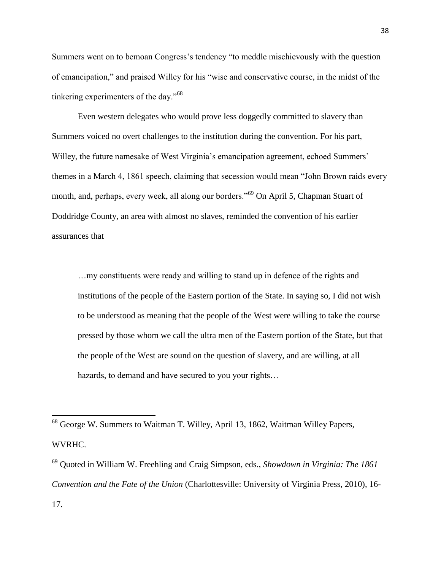Summers went on to bemoan Congress's tendency "to meddle mischievously with the question of emancipation," and praised Willey for his "wise and conservative course, in the midst of the tinkering experimenters of the day. $^{968}$ 

Even western delegates who would prove less doggedly committed to slavery than Summers voiced no overt challenges to the institution during the convention. For his part, Willey, the future namesake of West Virginia's emancipation agreement, echoed Summers' themes in a March 4, 1861 speech, claiming that secession would mean "John Brown raids every month, and, perhaps, every week, all along our borders."<sup>69</sup> On April 5, Chapman Stuart of Doddridge County, an area with almost no slaves, reminded the convention of his earlier assurances that

…my constituents were ready and willing to stand up in defence of the rights and institutions of the people of the Eastern portion of the State. In saying so, I did not wish to be understood as meaning that the people of the West were willing to take the course pressed by those whom we call the ultra men of the Eastern portion of the State, but that the people of the West are sound on the question of slavery, and are willing, at all hazards, to demand and have secured to you your rights…

 $\overline{a}$ 

<sup>69</sup> Quoted in William W. Freehling and Craig Simpson, eds., *Showdown in Virginia: The 1861 Convention and the Fate of the Union* (Charlottesville: University of Virginia Press, 2010), 16- 17.

 $68$  George W. Summers to Waitman T. Willey, April 13, 1862, Waitman Willey Papers, WVRHC.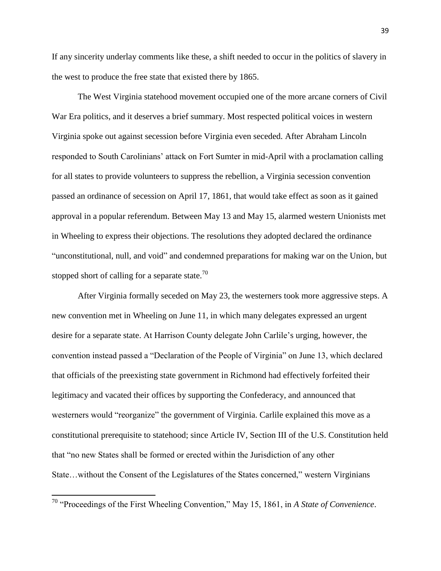If any sincerity underlay comments like these, a shift needed to occur in the politics of slavery in the west to produce the free state that existed there by 1865.

The West Virginia statehood movement occupied one of the more arcane corners of Civil War Era politics, and it deserves a brief summary. Most respected political voices in western Virginia spoke out against secession before Virginia even seceded. After Abraham Lincoln responded to South Carolinians' attack on Fort Sumter in mid-April with a proclamation calling for all states to provide volunteers to suppress the rebellion, a Virginia secession convention passed an ordinance of secession on April 17, 1861, that would take effect as soon as it gained approval in a popular referendum. Between May 13 and May 15, alarmed western Unionists met in Wheeling to express their objections. The resolutions they adopted declared the ordinance "unconstitutional, null, and void" and condemned preparations for making war on the Union, but stopped short of calling for a separate state.<sup>70</sup>

After Virginia formally seceded on May 23, the westerners took more aggressive steps. A new convention met in Wheeling on June 11, in which many delegates expressed an urgent desire for a separate state. At Harrison County delegate John Carlile's urging, however, the convention instead passed a "Declaration of the People of Virginia" on June 13, which declared that officials of the preexisting state government in Richmond had effectively forfeited their legitimacy and vacated their offices by supporting the Confederacy, and announced that westerners would "reorganize" the government of Virginia. Carlile explained this move as a constitutional prerequisite to statehood; since Article IV, Section III of the U.S. Constitution held that "no new States shall be formed or erected within the Jurisdiction of any other State…without the Consent of the Legislatures of the States concerned," western Virginians

<sup>&</sup>lt;sup>70</sup> "Proceedings of the First Wheeling Convention," May 15, 1861, in *A State of Convenience*.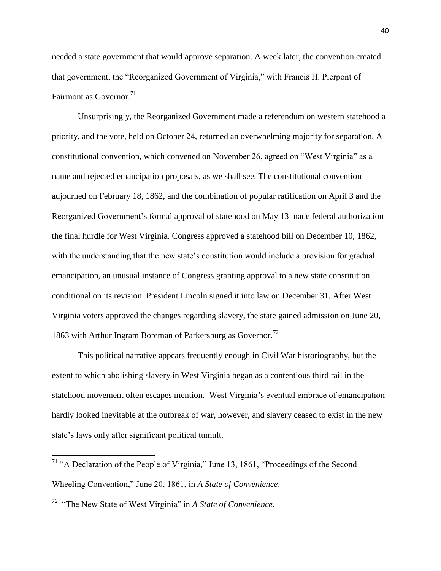needed a state government that would approve separation. A week later, the convention created that government, the "Reorganized Government of Virginia," with Francis H. Pierpont of Fairmont as Governor. $71$ 

Unsurprisingly, the Reorganized Government made a referendum on western statehood a priority, and the vote, held on October 24, returned an overwhelming majority for separation. A constitutional convention, which convened on November 26, agreed on "West Virginia" as a name and rejected emancipation proposals, as we shall see. The constitutional convention adjourned on February 18, 1862, and the combination of popular ratification on April 3 and the Reorganized Government's formal approval of statehood on May 13 made federal authorization the final hurdle for West Virginia. Congress approved a statehood bill on December 10, 1862, with the understanding that the new state's constitution would include a provision for gradual emancipation, an unusual instance of Congress granting approval to a new state constitution conditional on its revision. President Lincoln signed it into law on December 31. After West Virginia voters approved the changes regarding slavery, the state gained admission on June 20, 1863 with Arthur Ingram Boreman of Parkersburg as Governor.<sup>72</sup>

This political narrative appears frequently enough in Civil War historiography, but the extent to which abolishing slavery in West Virginia began as a contentious third rail in the statehood movement often escapes mention. West Virginia's eventual embrace of emancipation hardly looked inevitable at the outbreak of war, however, and slavery ceased to exist in the new state's laws only after significant political tumult.

 $71$  "A Declaration of the People of Virginia," June 13, 1861, "Proceedings of the Second Wheeling Convention," June 20, 1861, in *A State of Convenience*.

<sup>&</sup>lt;sup>72</sup> "The New State of West Virginia" in *A State of Convenience*.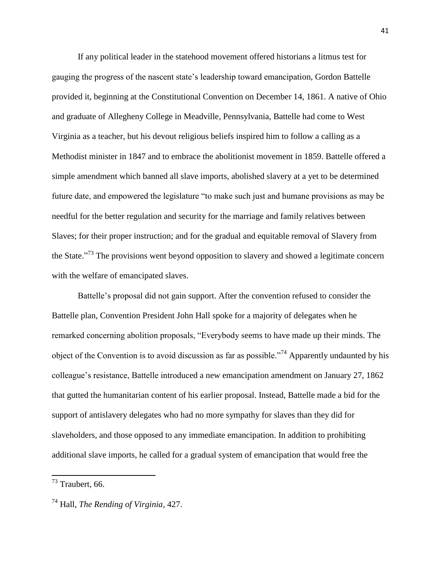If any political leader in the statehood movement offered historians a litmus test for gauging the progress of the nascent state's leadership toward emancipation, Gordon Battelle provided it, beginning at the Constitutional Convention on December 14, 1861. A native of Ohio and graduate of Allegheny College in Meadville, Pennsylvania, Battelle had come to West Virginia as a teacher, but his devout religious beliefs inspired him to follow a calling as a Methodist minister in 1847 and to embrace the abolitionist movement in 1859. Battelle offered a simple amendment which banned all slave imports, abolished slavery at a yet to be determined future date, and empowered the legislature "to make such just and humane provisions as may be needful for the better regulation and security for the marriage and family relatives between Slaves; for their proper instruction; and for the gradual and equitable removal of Slavery from the State.<sup> $.73$ </sup> The provisions went beyond opposition to slavery and showed a legitimate concern with the welfare of emancipated slaves.

Battelle's proposal did not gain support. After the convention refused to consider the Battelle plan, Convention President John Hall spoke for a majority of delegates when he remarked concerning abolition proposals, "Everybody seems to have made up their minds. The object of the Convention is to avoid discussion as far as possible.<sup>774</sup> Apparently undaunted by his colleague's resistance, Battelle introduced a new emancipation amendment on January 27, 1862 that gutted the humanitarian content of his earlier proposal. Instead, Battelle made a bid for the support of antislavery delegates who had no more sympathy for slaves than they did for slaveholders, and those opposed to any immediate emancipation. In addition to prohibiting additional slave imports, he called for a gradual system of emancipation that would free the

 $73$  Traubert, 66.

<sup>74</sup> Hall, *The Rending of Virginia*, 427.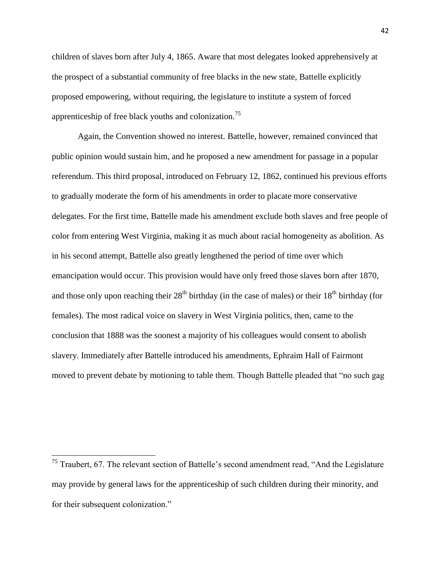children of slaves born after July 4, 1865. Aware that most delegates looked apprehensively at the prospect of a substantial community of free blacks in the new state, Battelle explicitly proposed empowering, without requiring, the legislature to institute a system of forced apprenticeship of free black youths and colonization.<sup>75</sup>

Again, the Convention showed no interest. Battelle, however, remained convinced that public opinion would sustain him, and he proposed a new amendment for passage in a popular referendum. This third proposal, introduced on February 12, 1862, continued his previous efforts to gradually moderate the form of his amendments in order to placate more conservative delegates. For the first time, Battelle made his amendment exclude both slaves and free people of color from entering West Virginia, making it as much about racial homogeneity as abolition. As in his second attempt, Battelle also greatly lengthened the period of time over which emancipation would occur. This provision would have only freed those slaves born after 1870, and those only upon reaching their  $28<sup>th</sup>$  birthday (in the case of males) or their  $18<sup>th</sup>$  birthday (for females). The most radical voice on slavery in West Virginia politics, then, came to the conclusion that 1888 was the soonest a majority of his colleagues would consent to abolish slavery. Immediately after Battelle introduced his amendments, Ephraim Hall of Fairmont moved to prevent debate by motioning to table them. Though Battelle pleaded that "no such gag

 $75$  Traubert, 67. The relevant section of Battelle's second amendment read, "And the Legislature may provide by general laws for the apprenticeship of such children during their minority, and for their subsequent colonization."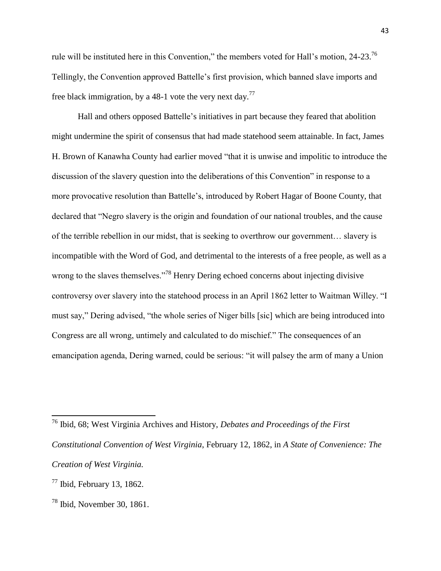rule will be instituted here in this Convention," the members voted for Hall's motion, 24-23.<sup>76</sup> Tellingly, the Convention approved Battelle's first provision, which banned slave imports and free black immigration, by a 48-1 vote the very next day.<sup>77</sup>

Hall and others opposed Battelle's initiatives in part because they feared that abolition might undermine the spirit of consensus that had made statehood seem attainable. In fact, James H. Brown of Kanawha County had earlier moved "that it is unwise and impolitic to introduce the discussion of the slavery question into the deliberations of this Convention" in response to a more provocative resolution than Battelle's, introduced by Robert Hagar of Boone County, that declared that "Negro slavery is the origin and foundation of our national troubles, and the cause of the terrible rebellion in our midst, that is seeking to overthrow our government… slavery is incompatible with the Word of God, and detrimental to the interests of a free people, as well as a wrong to the slaves themselves."<sup>78</sup> Henry Dering echoed concerns about injecting divisive controversy over slavery into the statehood process in an April 1862 letter to Waitman Willey. "I must say," Dering advised, "the whole series of Niger bills [sic] which are being introduced into Congress are all wrong, untimely and calculated to do mischief." The consequences of an emancipation agenda, Dering warned, could be serious: "it will palsey the arm of many a Union

 $\overline{a}$ <sup>76</sup> Ibid, 68; West Virginia Archives and History, *Debates and Proceedings of the First Constitutional Convention of West Virginia*, February 12, 1862, in *A State of Convenience: The Creation of West Virginia.*

 $77$  Ibid, February 13, 1862.

 $78$  Ibid, November 30, 1861.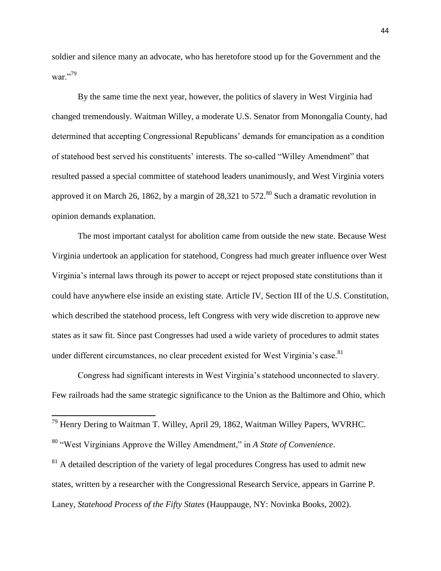soldier and silence many an advocate, who has heretofore stood up for the Government and the war."79

By the same time the next year, however, the politics of slavery in West Virginia had changed tremendously. Waitman Willey, a moderate U.S. Senator from Monongalia County, had determined that accepting Congressional Republicans' demands for emancipation as a condition of statehood best served his constituents' interests. The so-called "Willey Amendment" that resulted passed a special committee of statehood leaders unanimously, and West Virginia voters approved it on March 26, 1862, by a margin of  $28.321$  to  $572$ .<sup>80</sup> Such a dramatic revolution in opinion demands explanation.

The most important catalyst for abolition came from outside the new state. Because West Virginia undertook an application for statehood, Congress had much greater influence over West Virginia's internal laws through its power to accept or reject proposed state constitutions than it could have anywhere else inside an existing state. Article IV, Section III of the U.S. Constitution, which described the statehood process, left Congress with very wide discretion to approve new states as it saw fit. Since past Congresses had used a wide variety of procedures to admit states under different circumstances, no clear precedent existed for West Virginia's case.<sup>81</sup>

Congress had significant interests in West Virginia's statehood unconnected to slavery. Few railroads had the same strategic significance to the Union as the Baltimore and Ohio, which

 $\overline{a}$ 

 $81$  A detailed description of the variety of legal procedures Congress has used to admit new states, written by a researcher with the Congressional Research Service, appears in Garrine P. Laney, *Statehood Process of the Fifty States* (Hauppauge, NY: Novinka Books, 2002).

<sup>&</sup>lt;sup>79</sup> Henry Dering to Waitman T. Willey, April 29, 1862, Waitman Willey Papers, WVRHC.

<sup>&</sup>lt;sup>80</sup> "West Virginians Approve the Willey Amendment," in *A State of Convenience*.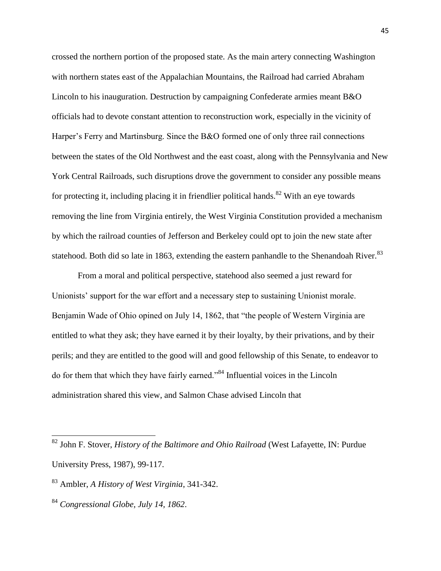crossed the northern portion of the proposed state. As the main artery connecting Washington with northern states east of the Appalachian Mountains, the Railroad had carried Abraham Lincoln to his inauguration. Destruction by campaigning Confederate armies meant B&O officials had to devote constant attention to reconstruction work, especially in the vicinity of Harper's Ferry and Martinsburg. Since the B&O formed one of only three rail connections between the states of the Old Northwest and the east coast, along with the Pennsylvania and New York Central Railroads, such disruptions drove the government to consider any possible means for protecting it, including placing it in friendlier political hands.<sup>82</sup> With an eye towards removing the line from Virginia entirely, the West Virginia Constitution provided a mechanism by which the railroad counties of Jefferson and Berkeley could opt to join the new state after statehood. Both did so late in 1863, extending the eastern panhandle to the Shenandoah River.<sup>83</sup>

From a moral and political perspective, statehood also seemed a just reward for Unionists' support for the war effort and a necessary step to sustaining Unionist morale. Benjamin Wade of Ohio opined on July 14, 1862, that "the people of Western Virginia are entitled to what they ask; they have earned it by their loyalty, by their privations, and by their perils; and they are entitled to the good will and good fellowship of this Senate, to endeavor to do for them that which they have fairly earned.<sup>84</sup> Influential voices in the Lincoln administration shared this view, and Salmon Chase advised Lincoln that

<sup>82</sup> John F. Stover, *History of the Baltimore and Ohio Railroad* (West Lafayette, IN: Purdue University Press, 1987), 99-117.

<sup>83</sup> Ambler, *A History of West Virginia*, 341-342.

<sup>84</sup> *Congressional Globe, July 14, 1862*.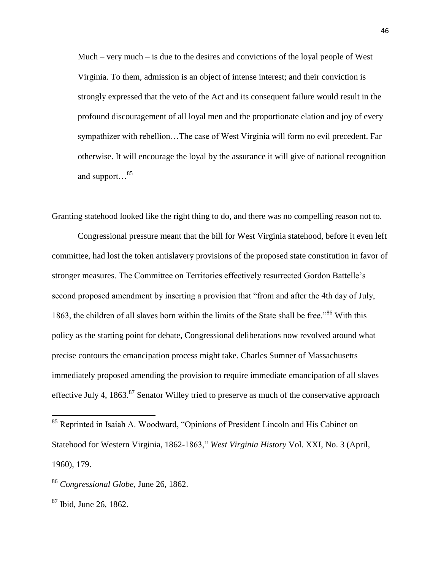Much – very much – is due to the desires and convictions of the loyal people of West Virginia. To them, admission is an object of intense interest; and their conviction is strongly expressed that the veto of the Act and its consequent failure would result in the profound discouragement of all loyal men and the proportionate elation and joy of every sympathizer with rebellion…The case of West Virginia will form no evil precedent. Far otherwise. It will encourage the loyal by the assurance it will give of national recognition and support…<sup>85</sup>

Granting statehood looked like the right thing to do, and there was no compelling reason not to.

Congressional pressure meant that the bill for West Virginia statehood, before it even left committee, had lost the token antislavery provisions of the proposed state constitution in favor of stronger measures. The Committee on Territories effectively resurrected Gordon Battelle's second proposed amendment by inserting a provision that "from and after the 4th day of July, 1863, the children of all slaves born within the limits of the State shall be free.<sup> $86$ </sup> With this policy as the starting point for debate, Congressional deliberations now revolved around what precise contours the emancipation process might take. Charles Sumner of Massachusetts immediately proposed amending the provision to require immediate emancipation of all slaves effective July 4, 1863.<sup>87</sup> Senator Willey tried to preserve as much of the conservative approach

<sup>&</sup>lt;sup>85</sup> Reprinted in Isaiah A. Woodward, "Opinions of President Lincoln and His Cabinet on Statehood for Western Virginia, 1862-1863," *West Virginia History Vol. XXI*, No. 3 (April, 1960), 179.

<sup>86</sup> *Congressional Globe*, June 26, 1862.

 $87$  Ibid, June 26, 1862.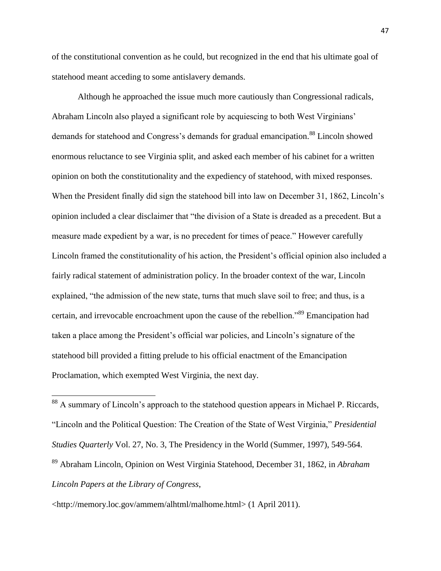of the constitutional convention as he could, but recognized in the end that his ultimate goal of statehood meant acceding to some antislavery demands.

Although he approached the issue much more cautiously than Congressional radicals, Abraham Lincoln also played a significant role by acquiescing to both West Virginians' demands for statehood and Congress's demands for gradual emancipation.<sup>88</sup> Lincoln showed enormous reluctance to see Virginia split, and asked each member of his cabinet for a written opinion on both the constitutionality and the expediency of statehood, with mixed responses. When the President finally did sign the statehood bill into law on December 31, 1862, Lincoln's opinion included a clear disclaimer that "the division of a State is dreaded as a precedent. But a measure made expedient by a war, is no precedent for times of peace." However carefully Lincoln framed the constitutionality of his action, the President's official opinion also included a fairly radical statement of administration policy. In the broader context of the war, Lincoln explained, "the admission of the new state, turns that much slave soil to free; and thus, is a certain, and irrevocable encroachment upon the cause of the rebellion.<sup>89</sup> Emancipation had taken a place among the President's official war policies, and Lincoln's signature of the statehood bill provided a fitting prelude to his official enactment of the Emancipation Proclamation, which exempted West Virginia, the next day.

 $88$  A summary of Lincoln's approach to the statehood question appears in Michael P. Riccards, ―Lincoln and the Political Question: The Creation of the State of West Virginia,‖ *Presidential Studies Quarterly* Vol. 27, No. 3, The Presidency in the World (Summer, 1997), 549-564.

<sup>89</sup> Abraham Lincoln, Opinion on West Virginia Statehood, December 31, 1862, in *Abraham Lincoln Papers at the Library of Congress*,

<http://memory.loc.gov/ammem/alhtml/malhome.html> (1 April 2011).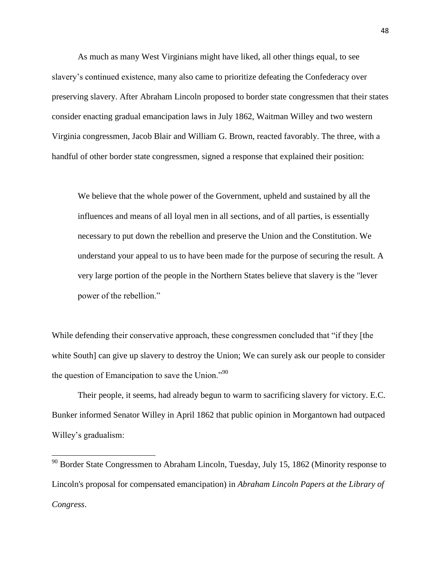As much as many West Virginians might have liked, all other things equal, to see slavery's continued existence, many also came to prioritize defeating the Confederacy over preserving slavery. After Abraham Lincoln proposed to border state congressmen that their states consider enacting gradual emancipation laws in July 1862, Waitman Willey and two western Virginia congressmen, Jacob Blair and William G. Brown, reacted favorably. The three, with a handful of other border state congressmen, signed a response that explained their position:

We believe that the whole power of the Government, upheld and sustained by all the influences and means of all loyal men in all sections, and of all parties, is essentially necessary to put down the rebellion and preserve the Union and the Constitution. We understand your appeal to us to have been made for the purpose of securing the result. A very large portion of the people in the Northern States believe that slavery is the "lever power of the rebellion."

While defending their conservative approach, these congressmen concluded that "if they [the white South] can give up slavery to destroy the Union; We can surely ask our people to consider the question of Emancipation to save the Union. $^{990}$ 

Their people, it seems, had already begun to warm to sacrificing slavery for victory. E.C. Bunker informed Senator Willey in April 1862 that public opinion in Morgantown had outpaced Willey's gradualism:

 $90$  Border State Congressmen to Abraham Lincoln, Tuesday, July 15, 1862 (Minority response to Lincoln's proposal for compensated emancipation) in *Abraham Lincoln Papers at the Library of Congress*.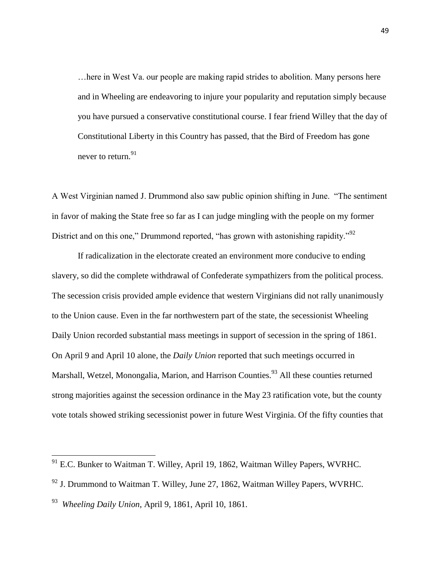…here in West Va. our people are making rapid strides to abolition. Many persons here and in Wheeling are endeavoring to injure your popularity and reputation simply because you have pursued a conservative constitutional course. I fear friend Willey that the day of Constitutional Liberty in this Country has passed, that the Bird of Freedom has gone never to return.  $91$ 

A West Virginian named J. Drummond also saw public opinion shifting in June. "The sentiment in favor of making the State free so far as I can judge mingling with the people on my former District and on this one," Drummond reported, "has grown with astonishing rapidity." $92$ 

If radicalization in the electorate created an environment more conducive to ending slavery, so did the complete withdrawal of Confederate sympathizers from the political process. The secession crisis provided ample evidence that western Virginians did not rally unanimously to the Union cause. Even in the far northwestern part of the state, the secessionist Wheeling Daily Union recorded substantial mass meetings in support of secession in the spring of 1861. On April 9 and April 10 alone, the *Daily Union* reported that such meetings occurred in Marshall, Wetzel, Monongalia, Marion, and Harrison Counties.<sup>93</sup> All these counties returned strong majorities against the secession ordinance in the May 23 ratification vote, but the county vote totals showed striking secessionist power in future West Virginia. Of the fifty counties that

 $91$  E.C. Bunker to Waitman T. Willey, April 19, 1862, Waitman Willey Papers, WVRHC.

 $92$  J. Drummond to Waitman T. Willey, June 27, 1862, Waitman Willey Papers, WVRHC.

<sup>93</sup> *Wheeling Daily Union*, April 9, 1861, April 10, 1861.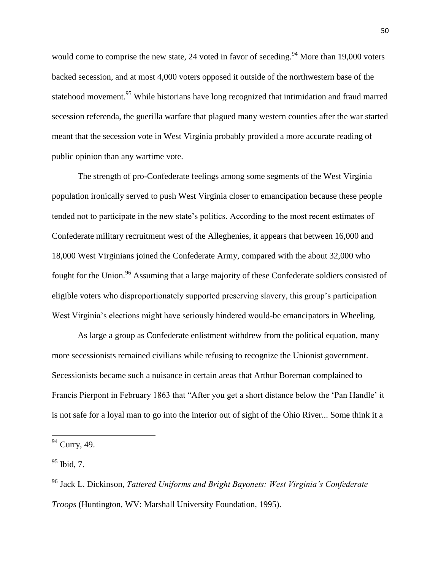would come to comprise the new state, 24 voted in favor of seceding.<sup>94</sup> More than 19,000 voters backed secession, and at most 4,000 voters opposed it outside of the northwestern base of the statehood movement.<sup>95</sup> While historians have long recognized that intimidation and fraud marred secession referenda, the guerilla warfare that plagued many western counties after the war started meant that the secession vote in West Virginia probably provided a more accurate reading of public opinion than any wartime vote.

The strength of pro-Confederate feelings among some segments of the West Virginia population ironically served to push West Virginia closer to emancipation because these people tended not to participate in the new state's politics. According to the most recent estimates of Confederate military recruitment west of the Alleghenies, it appears that between 16,000 and 18,000 West Virginians joined the Confederate Army, compared with the about 32,000 who fought for the Union.<sup>96</sup> Assuming that a large majority of these Confederate soldiers consisted of eligible voters who disproportionately supported preserving slavery, this group's participation West Virginia's elections might have seriously hindered would-be emancipators in Wheeling.

As large a group as Confederate enlistment withdrew from the political equation, many more secessionists remained civilians while refusing to recognize the Unionist government. Secessionists became such a nuisance in certain areas that Arthur Boreman complained to Francis Pierpont in February 1863 that "After you get a short distance below the 'Pan Handle' it is not safe for a loyal man to go into the interior out of sight of the Ohio River... Some think it a

<sup>&</sup>lt;sup>94</sup> Curry, 49.

 $95$  Ibid, 7.

<sup>96</sup> Jack L. Dickinson, *Tattered Uniforms and Bright Bayonets: West Virginia's Confederate Troops* (Huntington, WV: Marshall University Foundation, 1995).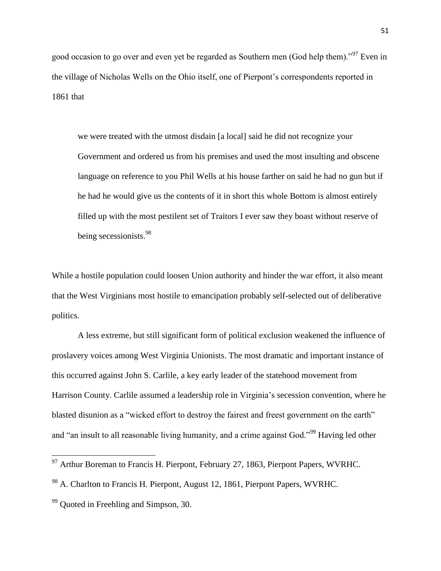good occasion to go over and even yet be regarded as Southern men (God help them).<sup>97</sup> Even in the village of Nicholas Wells on the Ohio itself, one of Pierpont's correspondents reported in 1861 that

we were treated with the utmost disdain [a local] said he did not recognize your Government and ordered us from his premises and used the most insulting and obscene language on reference to you Phil Wells at his house farther on said he had no gun but if he had he would give us the contents of it in short this whole Bottom is almost entirely filled up with the most pestilent set of Traitors I ever saw they boast without reserve of being secessionists.<sup>98</sup>

While a hostile population could loosen Union authority and hinder the war effort, it also meant that the West Virginians most hostile to emancipation probably self-selected out of deliberative politics.

A less extreme, but still significant form of political exclusion weakened the influence of proslavery voices among West Virginia Unionists. The most dramatic and important instance of this occurred against John S. Carlile, a key early leader of the statehood movement from Harrison County. Carlile assumed a leadership role in Virginia's secession convention, where he blasted disunion as a "wicked effort to destroy the fairest and freest government on the earth" and "an insult to all reasonable living humanity, and a crime against God."<sup>99</sup> Having led other

 $97$  Arthur Boreman to Francis H. Pierpont, February 27, 1863, Pierpont Papers, WVRHC.

<sup>98</sup> A. Charlton to Francis H. Pierpont, August 12, 1861, Pierpont Papers, WVRHC.

 $99$  Ouoted in Freehling and Simpson, 30.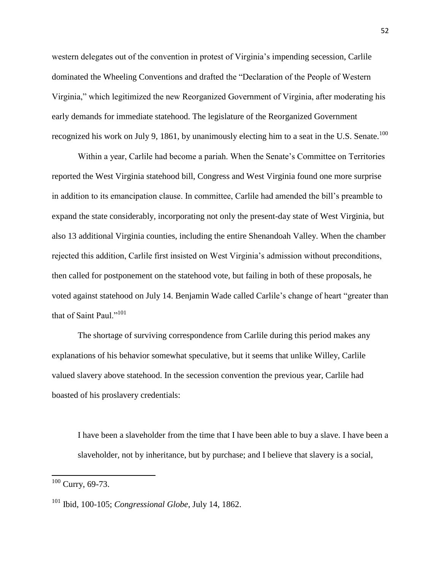western delegates out of the convention in protest of Virginia's impending secession, Carlile dominated the Wheeling Conventions and drafted the "Declaration of the People of Western Virginia," which legitimized the new Reorganized Government of Virginia, after moderating his early demands for immediate statehood. The legislature of the Reorganized Government recognized his work on July 9, 1861, by unanimously electing him to a seat in the U.S. Senate.<sup>100</sup>

Within a year, Carlile had become a pariah. When the Senate's Committee on Territories reported the West Virginia statehood bill, Congress and West Virginia found one more surprise in addition to its emancipation clause. In committee, Carlile had amended the bill's preamble to expand the state considerably, incorporating not only the present-day state of West Virginia, but also 13 additional Virginia counties, including the entire Shenandoah Valley. When the chamber rejected this addition, Carlile first insisted on West Virginia's admission without preconditions, then called for postponement on the statehood vote, but failing in both of these proposals, he voted against statehood on July 14. Benjamin Wade called Carlile's change of heart "greater than that of Saint Paul." $101$ 

The shortage of surviving correspondence from Carlile during this period makes any explanations of his behavior somewhat speculative, but it seems that unlike Willey, Carlile valued slavery above statehood. In the secession convention the previous year, Carlile had boasted of his proslavery credentials:

I have been a slaveholder from the time that I have been able to buy a slave. I have been a slaveholder, not by inheritance, but by purchase; and I believe that slavery is a social,

 $100$  Curry, 69-73.

<sup>101</sup> Ibid, 100-105; *Congressional Globe*, July 14, 1862.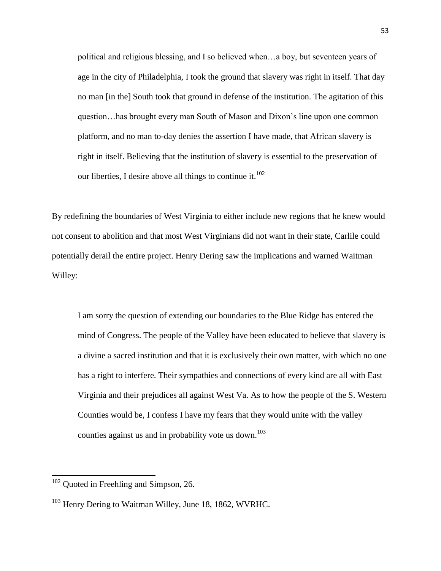political and religious blessing, and I so believed when…a boy, but seventeen years of age in the city of Philadelphia, I took the ground that slavery was right in itself. That day no man [in the] South took that ground in defense of the institution. The agitation of this question…has brought every man South of Mason and Dixon's line upon one common platform, and no man to-day denies the assertion I have made, that African slavery is right in itself. Believing that the institution of slavery is essential to the preservation of our liberties, I desire above all things to continue it.<sup>102</sup>

By redefining the boundaries of West Virginia to either include new regions that he knew would not consent to abolition and that most West Virginians did not want in their state, Carlile could potentially derail the entire project. Henry Dering saw the implications and warned Waitman Willey:

I am sorry the question of extending our boundaries to the Blue Ridge has entered the mind of Congress. The people of the Valley have been educated to believe that slavery is a divine a sacred institution and that it is exclusively their own matter, with which no one has a right to interfere. Their sympathies and connections of every kind are all with East Virginia and their prejudices all against West Va. As to how the people of the S. Western Counties would be, I confess I have my fears that they would unite with the valley counties against us and in probability vote us down.<sup>103</sup>

 $102$  Quoted in Freehling and Simpson, 26.

<sup>&</sup>lt;sup>103</sup> Henry Dering to Waitman Willey, June 18, 1862, WVRHC.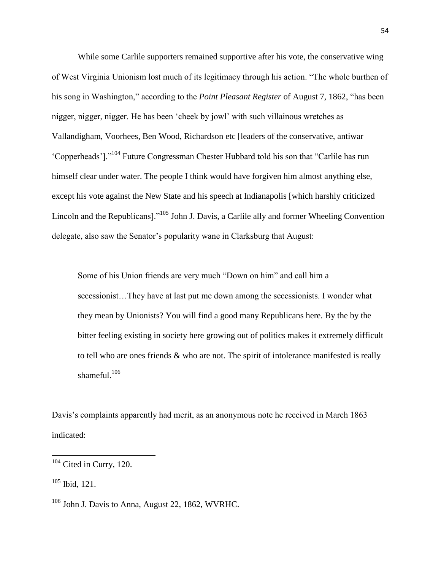While some Carlile supporters remained supportive after his vote, the conservative wing of West Virginia Unionism lost much of its legitimacy through his action. "The whole burthen of his song in Washington," according to the *Point Pleasant Register* of August 7, 1862, "has been nigger, nigger, nigger. He has been 'cheek by jowl' with such villainous wretches as Vallandigham, Voorhees, Ben Wood, Richardson etc [leaders of the conservative, antiwar ‗Copperheads'].‖<sup>104</sup> Future Congressman Chester Hubbard told his son that ―Carlile has run himself clear under water. The people I think would have forgiven him almost anything else, except his vote against the New State and his speech at Indianapolis [which harshly criticized Lincoln and the Republicans].<sup>105</sup> John J. Davis, a Carlile ally and former Wheeling Convention delegate, also saw the Senator's popularity wane in Clarksburg that August:

Some of his Union friends are very much "Down on him" and call him a secessionist…They have at last put me down among the secessionists. I wonder what they mean by Unionists? You will find a good many Republicans here. By the by the bitter feeling existing in society here growing out of politics makes it extremely difficult to tell who are ones friends & who are not. The spirit of intolerance manifested is really shameful. $106$ 

Davis's complaints apparently had merit, as an anonymous note he received in March 1863 indicated:

 $105$  Ibid, 121.

 $104$  Cited in Curry, 120.

<sup>106</sup> John J. Davis to Anna, August 22, 1862, WVRHC.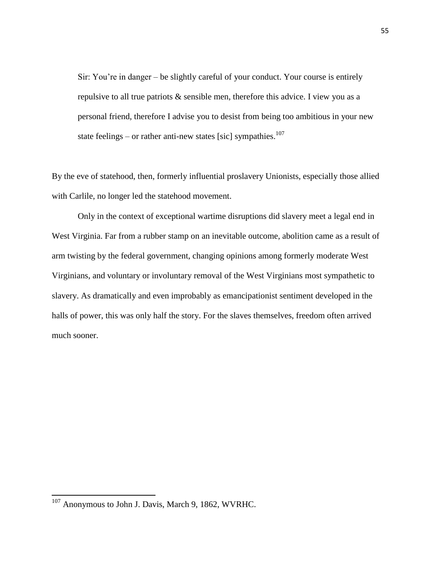Sir: You're in danger – be slightly careful of your conduct. Your course is entirely repulsive to all true patriots & sensible men, therefore this advice. I view you as a personal friend, therefore I advise you to desist from being too ambitious in your new state feelings – or rather anti-new states [sic] sympathies. $107$ 

By the eve of statehood, then, formerly influential proslavery Unionists, especially those allied with Carlile, no longer led the statehood movement.

Only in the context of exceptional wartime disruptions did slavery meet a legal end in West Virginia. Far from a rubber stamp on an inevitable outcome, abolition came as a result of arm twisting by the federal government, changing opinions among formerly moderate West Virginians, and voluntary or involuntary removal of the West Virginians most sympathetic to slavery. As dramatically and even improbably as emancipationist sentiment developed in the halls of power, this was only half the story. For the slaves themselves, freedom often arrived much sooner.

<sup>&</sup>lt;sup>107</sup> Anonymous to John J. Davis, March 9, 1862, WVRHC.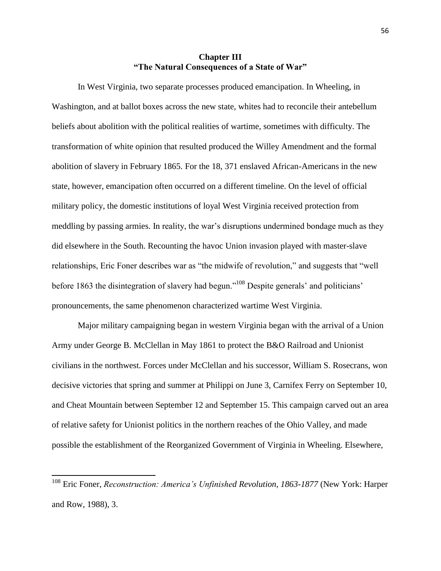## **Chapter III "The Natural Consequences of a State of War"**

In West Virginia, two separate processes produced emancipation. In Wheeling, in Washington, and at ballot boxes across the new state, whites had to reconcile their antebellum beliefs about abolition with the political realities of wartime, sometimes with difficulty. The transformation of white opinion that resulted produced the Willey Amendment and the formal abolition of slavery in February 1865. For the 18, 371 enslaved African-Americans in the new state, however, emancipation often occurred on a different timeline. On the level of official military policy, the domestic institutions of loyal West Virginia received protection from meddling by passing armies. In reality, the war's disruptions undermined bondage much as they did elsewhere in the South. Recounting the havoc Union invasion played with master-slave relationships, Eric Foner describes war as "the midwife of revolution," and suggests that "well before 1863 the disintegration of slavery had begun."<sup>108</sup> Despite generals' and politicians' pronouncements, the same phenomenon characterized wartime West Virginia.

Major military campaigning began in western Virginia began with the arrival of a Union Army under George B. McClellan in May 1861 to protect the B&O Railroad and Unionist civilians in the northwest. Forces under McClellan and his successor, William S. Rosecrans, won decisive victories that spring and summer at Philippi on June 3, Carnifex Ferry on September 10, and Cheat Mountain between September 12 and September 15. This campaign carved out an area of relative safety for Unionist politics in the northern reaches of the Ohio Valley, and made possible the establishment of the Reorganized Government of Virginia in Wheeling. Elsewhere,

<sup>108</sup> Eric Foner, *Reconstruction: America's Unfinished Revolution, 1863-1877* (New York: Harper and Row, 1988), 3.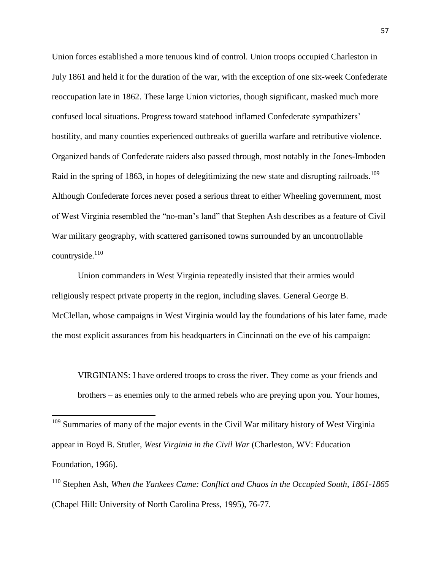Union forces established a more tenuous kind of control. Union troops occupied Charleston in July 1861 and held it for the duration of the war, with the exception of one six-week Confederate reoccupation late in 1862. These large Union victories, though significant, masked much more confused local situations. Progress toward statehood inflamed Confederate sympathizers' hostility, and many counties experienced outbreaks of guerilla warfare and retributive violence. Organized bands of Confederate raiders also passed through, most notably in the Jones-Imboden Raid in the spring of 1863, in hopes of delegitimizing the new state and disrupting railroads.<sup>109</sup> Although Confederate forces never posed a serious threat to either Wheeling government, most of West Virginia resembled the "no-man's land" that Stephen Ash describes as a feature of Civil War military geography, with scattered garrisoned towns surrounded by an uncontrollable countryside. $110$ 

Union commanders in West Virginia repeatedly insisted that their armies would religiously respect private property in the region, including slaves. General George B. McClellan, whose campaigns in West Virginia would lay the foundations of his later fame, made the most explicit assurances from his headquarters in Cincinnati on the eve of his campaign:

VIRGINIANS: I have ordered troops to cross the river. They come as your friends and brothers – as enemies only to the armed rebels who are preying upon you. Your homes,

<sup>&</sup>lt;sup>109</sup> Summaries of many of the major events in the Civil War military history of West Virginia appear in Boyd B. Stutler, *West Virginia in the Civil War* (Charleston, WV: Education Foundation, 1966).

<sup>110</sup> Stephen Ash, *When the Yankees Came: Conflict and Chaos in the Occupied South, 1861-1865* (Chapel Hill: University of North Carolina Press, 1995), 76-77.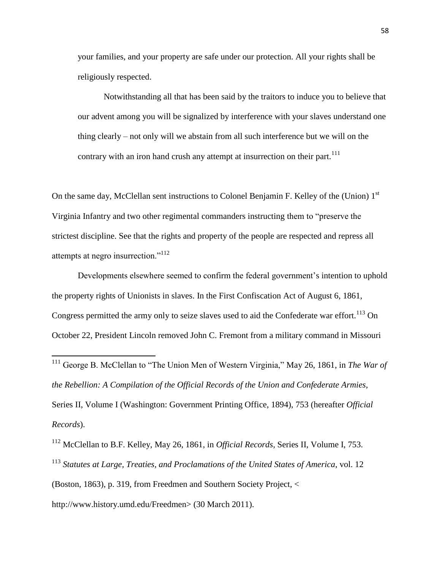your families, and your property are safe under our protection. All your rights shall be religiously respected.

Notwithstanding all that has been said by the traitors to induce you to believe that our advent among you will be signalized by interference with your slaves understand one thing clearly – not only will we abstain from all such interference but we will on the contrary with an iron hand crush any attempt at insurrection on their part.<sup>111</sup>

On the same day, McClellan sent instructions to Colonel Benjamin F. Kelley of the (Union) 1<sup>st</sup> Virginia Infantry and two other regimental commanders instructing them to "preserve the strictest discipline. See that the rights and property of the people are respected and repress all attempts at negro insurrection."<sup>112</sup>

Developments elsewhere seemed to confirm the federal government's intention to uphold the property rights of Unionists in slaves. In the First Confiscation Act of August 6, 1861, Congress permitted the army only to seize slaves used to aid the Confederate war effort.<sup>113</sup> On October 22, President Lincoln removed John C. Fremont from a military command in Missouri

<sup>111</sup> George B. McClellan to "The Union Men of Western Virginia," May 26, 1861, in *The War of the Rebellion: A Compilation of the Official Records of the Union and Confederate Armies*, Series II, Volume I (Washington: Government Printing Office, 1894), 753 (hereafter *Official Records*).

<sup>112</sup> McClellan to B.F. Kelley, May 26, 1861, in *Official Records*, Series II, Volume I, 753. <sup>113</sup> *Statutes at Large, Treaties, and Proclamations of the United States of America*, vol. 12 (Boston, 1863), p. 319, from Freedmen and Southern Society Project, <

http://www.history.umd.edu/Freedmen> (30 March 2011).

l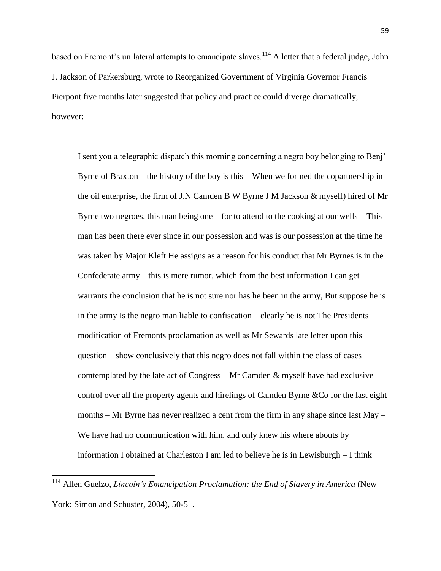based on Fremont's unilateral attempts to emancipate slaves.<sup>114</sup> A letter that a federal judge, John J. Jackson of Parkersburg, wrote to Reorganized Government of Virginia Governor Francis Pierpont five months later suggested that policy and practice could diverge dramatically, however:

I sent you a telegraphic dispatch this morning concerning a negro boy belonging to Benj' Byrne of Braxton – the history of the boy is this – When we formed the copartnership in the oil enterprise, the firm of J.N Camden B W Byrne J M Jackson & myself) hired of Mr Byrne two negroes, this man being one  $-$  for to attend to the cooking at our wells  $-$  This man has been there ever since in our possession and was is our possession at the time he was taken by Major Kleft He assigns as a reason for his conduct that Mr Byrnes is in the Confederate army – this is mere rumor, which from the best information I can get warrants the conclusion that he is not sure nor has he been in the army, But suppose he is in the army Is the negro man liable to confiscation – clearly he is not The Presidents modification of Fremonts proclamation as well as Mr Sewards late letter upon this question – show conclusively that this negro does not fall within the class of cases comtemplated by the late act of Congress  $-$  Mr Camden  $\&$  myself have had exclusive control over all the property agents and hirelings of Camden Byrne &Co for the last eight months – Mr Byrne has never realized a cent from the firm in any shape since last May – We have had no communication with him, and only knew his where abouts by information I obtained at Charleston I am led to believe he is in Lewisburgh – I think

<sup>114</sup> Allen Guelzo, *Lincoln's Emancipation Proclamation: the End of Slavery in America* (New York: Simon and Schuster, 2004), 50-51.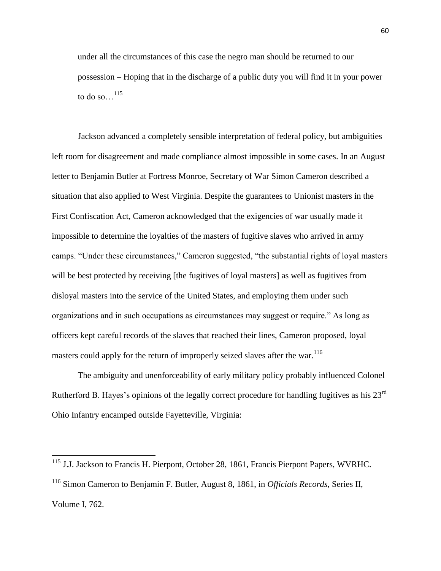under all the circumstances of this case the negro man should be returned to our possession – Hoping that in the discharge of a public duty you will find it in your power to do so $\ldots$ <sup>115</sup>

Jackson advanced a completely sensible interpretation of federal policy, but ambiguities left room for disagreement and made compliance almost impossible in some cases. In an August letter to Benjamin Butler at Fortress Monroe, Secretary of War Simon Cameron described a situation that also applied to West Virginia. Despite the guarantees to Unionist masters in the First Confiscation Act, Cameron acknowledged that the exigencies of war usually made it impossible to determine the loyalties of the masters of fugitive slaves who arrived in army camps. "Under these circumstances," Cameron suggested, "the substantial rights of loyal masters will be best protected by receiving [the fugitives of loyal masters] as well as fugitives from disloyal masters into the service of the United States, and employing them under such organizations and in such occupations as circumstances may suggest or require." As long as officers kept careful records of the slaves that reached their lines, Cameron proposed, loyal masters could apply for the return of improperly seized slaves after the war.<sup>116</sup>

The ambiguity and unenforceability of early military policy probably influenced Colonel Rutherford B. Hayes's opinions of the legally correct procedure for handling fugitives as his 23rd Ohio Infantry encamped outside Fayetteville, Virginia:

<sup>&</sup>lt;sup>115</sup> J.J. Jackson to Francis H. Pierpont, October 28, 1861, Francis Pierpont Papers, WVRHC. <sup>116</sup> Simon Cameron to Benjamin F. Butler, August 8, 1861, in *Officials Records*, Series II,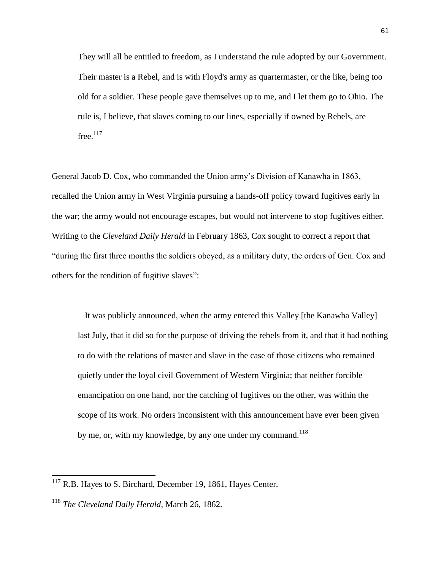They will all be entitled to freedom, as I understand the rule adopted by our Government. Their master is a Rebel, and is with Floyd's army as quartermaster, or the like, being too old for a soldier. These people gave themselves up to me, and I let them go to Ohio. The rule is, I believe, that slaves coming to our lines, especially if owned by Rebels, are  $free.<sup>117</sup>$ 

General Jacob D. Cox, who commanded the Union army's Division of Kanawha in 1863, recalled the Union army in West Virginia pursuing a hands-off policy toward fugitives early in the war; the army would not encourage escapes, but would not intervene to stop fugitives either. Writing to the *Cleveland Daily Herald* in February 1863, Cox sought to correct a report that ―during the first three months the soldiers obeyed, as a military duty, the orders of Gen. Cox and others for the rendition of fugitive slaves":

It was publicly announced, when the army entered this Valley [the Kanawha Valley] last July, that it did so for the purpose of driving the rebels from it, and that it had nothing to do with the relations of master and slave in the case of those citizens who remained quietly under the loyal civil Government of Western Virginia; that neither forcible emancipation on one hand, nor the catching of fugitives on the other, was within the scope of its work. No orders inconsistent with this announcement have ever been given by me, or, with my knowledge, by any one under my command.<sup>118</sup>

 $117$  R.B. Hayes to S. Birchard, December 19, 1861, Hayes Center.

<sup>118</sup> *The Cleveland Daily Herald*, March 26, 1862.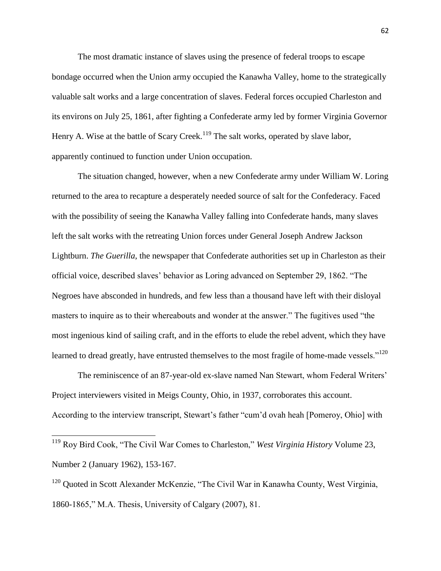The most dramatic instance of slaves using the presence of federal troops to escape bondage occurred when the Union army occupied the Kanawha Valley, home to the strategically valuable salt works and a large concentration of slaves. Federal forces occupied Charleston and its environs on July 25, 1861, after fighting a Confederate army led by former Virginia Governor Henry A. Wise at the battle of Scary Creek.<sup>119</sup> The salt works, operated by slave labor, apparently continued to function under Union occupation.

The situation changed, however, when a new Confederate army under William W. Loring returned to the area to recapture a desperately needed source of salt for the Confederacy. Faced with the possibility of seeing the Kanawha Valley falling into Confederate hands, many slaves left the salt works with the retreating Union forces under General Joseph Andrew Jackson Lightburn. *The Guerilla*, the newspaper that Confederate authorities set up in Charleston as their official voice, described slaves' behavior as Loring advanced on September 29, 1862. ―The Negroes have absconded in hundreds, and few less than a thousand have left with their disloyal masters to inquire as to their whereabouts and wonder at the answer." The fugitives used "the most ingenious kind of sailing craft, and in the efforts to elude the rebel advent, which they have learned to dread greatly, have entrusted themselves to the most fragile of home-made vessels."<sup>120</sup>

The reminiscence of an 87-year-old ex-slave named Nan Stewart, whom Federal Writers' Project interviewers visited in Meigs County, Ohio, in 1937, corroborates this account. According to the interview transcript, Stewart's father "cum'd ovah heah [Pomeroy, Ohio] with

<sup>119</sup> Roy Bird Cook, "The Civil War Comes to Charleston," *West Virginia History* Volume 23, Number 2 (January 1962), 153-167.

 $\overline{\phantom{a}}$ 

 $120$  Quoted in Scott Alexander McKenzie, "The Civil War in Kanawha County, West Virginia, 1860-1865," M.A. Thesis, University of Calgary (2007), 81.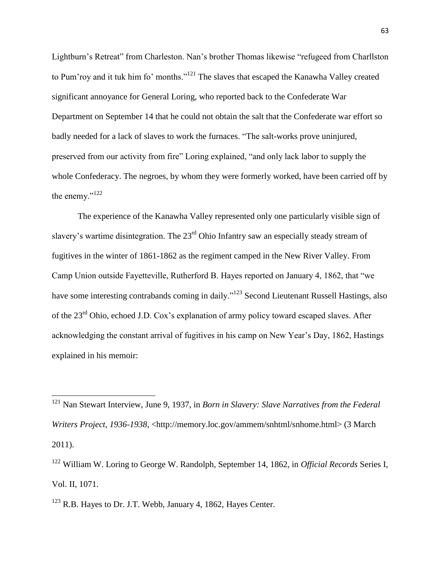Lightburn's Retreat" from Charleston. Nan's brother Thomas likewise "refugeed from Charllston" to Pum'roy and it tuk him fo' months."<sup>121</sup> The slaves that escaped the Kanawha Valley created significant annoyance for General Loring, who reported back to the Confederate War Department on September 14 that he could not obtain the salt that the Confederate war effort so badly needed for a lack of slaves to work the furnaces. "The salt-works prove uninjured, preserved from our activity from fire" Loring explained, "and only lack labor to supply the whole Confederacy. The negroes, by whom they were formerly worked, have been carried off by the enemy." $122$ 

The experience of the Kanawha Valley represented only one particularly visible sign of slavery's wartime disintegration. The 23<sup>rd</sup> Ohio Infantry saw an especially steady stream of fugitives in the winter of 1861-1862 as the regiment camped in the New River Valley. From Camp Union outside Fayetteville, Rutherford B. Hayes reported on January 4, 1862, that "we have some interesting contrabands coming in daily."<sup>123</sup> Second Lieutenant Russell Hastings, also of the 23rd Ohio, echoed J.D. Cox's explanation of army policy toward escaped slaves. After acknowledging the constant arrival of fugitives in his camp on New Year's Day, 1862, Hastings explained in his memoir:

<sup>122</sup> William W. Loring to George W. Randolph, September 14, 1862, in *Official Records* Series I, Vol. II, 1071.

 $123$  R.B. Hayes to Dr. J.T. Webb, January 4, 1862, Hayes Center.

<sup>121</sup> Nan Stewart Interview, June 9, 1937, in *Born in Slavery: Slave Narratives from the Federal Writers Project, 1936-1938*, <http://memory.loc.gov/ammem/snhtml/snhome.html> (3 March 2011).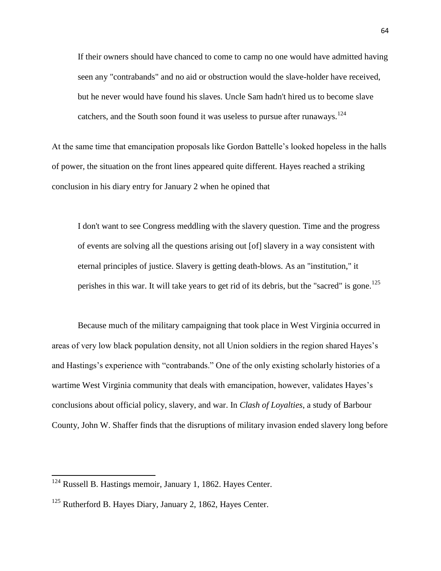If their owners should have chanced to come to camp no one would have admitted having seen any "contrabands" and no aid or obstruction would the slave-holder have received, but he never would have found his slaves. Uncle Sam hadn't hired us to become slave catchers, and the South soon found it was useless to pursue after runaways.<sup>124</sup>

At the same time that emancipation proposals like Gordon Battelle's looked hopeless in the halls of power, the situation on the front lines appeared quite different. Hayes reached a striking conclusion in his diary entry for January 2 when he opined that

I don't want to see Congress meddling with the slavery question. Time and the progress of events are solving all the questions arising out [of] slavery in a way consistent with eternal principles of justice. Slavery is getting death-blows. As an "institution," it perishes in this war. It will take years to get rid of its debris, but the "sacred" is gone.<sup>125</sup>

Because much of the military campaigning that took place in West Virginia occurred in areas of very low black population density, not all Union soldiers in the region shared Hayes's and Hastings's experience with "contrabands." One of the only existing scholarly histories of a wartime West Virginia community that deals with emancipation, however, validates Hayes's conclusions about official policy, slavery, and war. In *Clash of Loyalties*, a study of Barbour County, John W. Shaffer finds that the disruptions of military invasion ended slavery long before

 $124$  Russell B. Hastings memoir, January 1, 1862. Hayes Center.

<sup>&</sup>lt;sup>125</sup> Rutherford B. Hayes Diary, January 2, 1862, Hayes Center.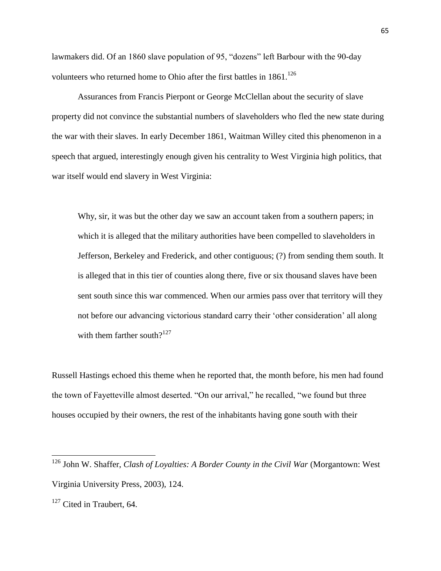lawmakers did. Of an 1860 slave population of 95, "dozens" left Barbour with the 90-day volunteers who returned home to Ohio after the first battles in 1861.<sup>126</sup>

Assurances from Francis Pierpont or George McClellan about the security of slave property did not convince the substantial numbers of slaveholders who fled the new state during the war with their slaves. In early December 1861, Waitman Willey cited this phenomenon in a speech that argued, interestingly enough given his centrality to West Virginia high politics, that war itself would end slavery in West Virginia:

Why, sir, it was but the other day we saw an account taken from a southern papers; in which it is alleged that the military authorities have been compelled to slaveholders in Jefferson, Berkeley and Frederick, and other contiguous; (?) from sending them south. It is alleged that in this tier of counties along there, five or six thousand slaves have been sent south since this war commenced. When our armies pass over that territory will they not before our advancing victorious standard carry their 'other consideration' all along with them farther south? $127$ 

Russell Hastings echoed this theme when he reported that, the month before, his men had found the town of Fayetteville almost deserted. "On our arrival," he recalled, "we found but three houses occupied by their owners, the rest of the inhabitants having gone south with their

<sup>&</sup>lt;sup>126</sup> John W. Shaffer, *Clash of Loyalties: A Border County in the Civil War* (Morgantown: West Virginia University Press, 2003), 124.

 $127$  Cited in Traubert, 64.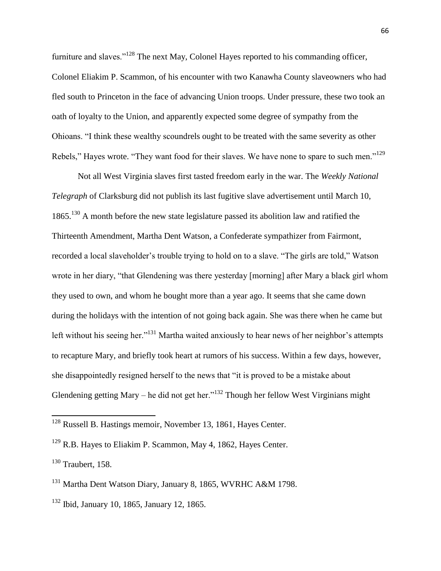furniture and slaves."<sup>128</sup> The next May, Colonel Hayes reported to his commanding officer, Colonel Eliakim P. Scammon, of his encounter with two Kanawha County slaveowners who had fled south to Princeton in the face of advancing Union troops. Under pressure, these two took an oath of loyalty to the Union, and apparently expected some degree of sympathy from the Ohioans. "I think these wealthy scoundrels ought to be treated with the same severity as other Rebels," Hayes wrote. "They want food for their slaves. We have none to spare to such men."<sup>129</sup>

Not all West Virginia slaves first tasted freedom early in the war. The *Weekly National Telegraph* of Clarksburg did not publish its last fugitive slave advertisement until March 10, 1865.<sup>130</sup> A month before the new state legislature passed its abolition law and ratified the Thirteenth Amendment, Martha Dent Watson, a Confederate sympathizer from Fairmont, recorded a local slaveholder's trouble trying to hold on to a slave. "The girls are told," Watson wrote in her diary, "that Glendening was there yesterday [morning] after Mary a black girl whom they used to own, and whom he bought more than a year ago. It seems that she came down during the holidays with the intention of not going back again. She was there when he came but left without his seeing her."<sup>131</sup> Martha waited anxiously to hear news of her neighbor's attempts to recapture Mary, and briefly took heart at rumors of his success. Within a few days, however, she disappointedly resigned herself to the news that "it is proved to be a mistake about Glendening getting Mary – he did not get her.<sup>132</sup> Though her fellow West Virginians might

<sup>&</sup>lt;sup>128</sup> Russell B. Hastings memoir, November 13, 1861, Hayes Center.

<sup>&</sup>lt;sup>129</sup> R.B. Hayes to Eliakim P. Scammon, May 4, 1862, Hayes Center.

 $130$  Traubert, 158.

<sup>131</sup> Martha Dent Watson Diary, January 8, 1865, WVRHC A&M 1798.

<sup>132</sup> Ibid, January 10, 1865, January 12, 1865.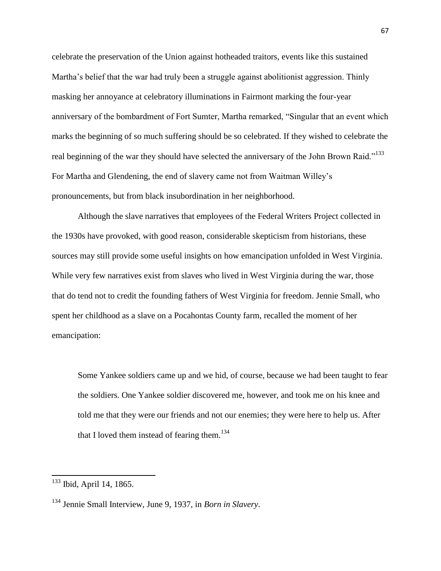celebrate the preservation of the Union against hotheaded traitors, events like this sustained Martha's belief that the war had truly been a struggle against abolitionist aggression. Thinly masking her annoyance at celebratory illuminations in Fairmont marking the four-year anniversary of the bombardment of Fort Sumter, Martha remarked, "Singular that an event which marks the beginning of so much suffering should be so celebrated. If they wished to celebrate the real beginning of the war they should have selected the anniversary of the John Brown Raid."<sup>133</sup> For Martha and Glendening, the end of slavery came not from Waitman Willey's pronouncements, but from black insubordination in her neighborhood.

Although the slave narratives that employees of the Federal Writers Project collected in the 1930s have provoked, with good reason, considerable skepticism from historians, these sources may still provide some useful insights on how emancipation unfolded in West Virginia. While very few narratives exist from slaves who lived in West Virginia during the war, those that do tend not to credit the founding fathers of West Virginia for freedom. Jennie Small, who spent her childhood as a slave on a Pocahontas County farm, recalled the moment of her emancipation:

Some Yankee soldiers came up and we hid, of course, because we had been taught to fear the soldiers. One Yankee soldier discovered me, however, and took me on his knee and told me that they were our friends and not our enemies; they were here to help us. After that I loved them instead of fearing them.<sup>134</sup>

<sup>&</sup>lt;sup>133</sup> Ibid, April 14, 1865.

<sup>134</sup> Jennie Small Interview, June 9, 1937, in *Born in Slavery*.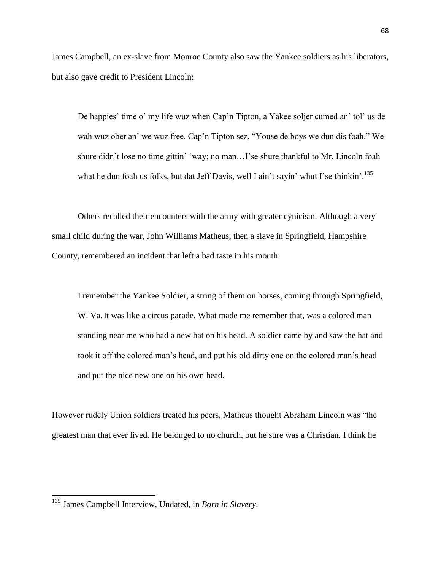James Campbell, an ex-slave from Monroe County also saw the Yankee soldiers as his liberators, but also gave credit to President Lincoln:

De happies' time o' my life wuz when Cap'n Tipton, a Yakee soljer cumed an' tol' us de wah wuz ober an' we wuz free. Cap'n Tipton sez, "Youse de boys we dun dis foah." We shure didn't lose no time gittin' 'way; no man...I'se shure thankful to Mr. Lincoln foah what he dun foah us folks, but dat Jeff Davis, well I ain't sayin' whut I'se thinkin'.<sup>135</sup>

Others recalled their encounters with the army with greater cynicism. Although a very small child during the war, John Williams Matheus, then a slave in Springfield, Hampshire County, remembered an incident that left a bad taste in his mouth:

I remember the Yankee Soldier, a string of them on horses, coming through Springfield, W. Va.It was like a circus parade. What made me remember that, was a colored man standing near me who had a new hat on his head. A soldier came by and saw the hat and took it off the colored man's head, and put his old dirty one on the colored man's head and put the nice new one on his own head.

However rudely Union soldiers treated his peers, Matheus thought Abraham Lincoln was "the greatest man that ever lived. He belonged to no church, but he sure was a Christian. I think he

<sup>135</sup> James Campbell Interview, Undated, in *Born in Slavery*.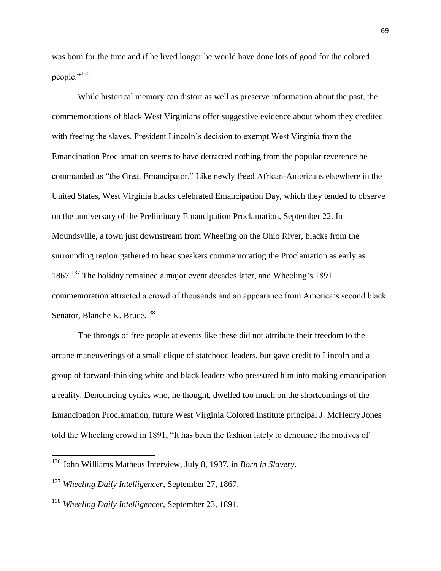was born for the time and if he lived longer he would have done lots of good for the colored people."<sup>136</sup>

While historical memory can distort as well as preserve information about the past, the commemorations of black West Virginians offer suggestive evidence about whom they credited with freeing the slaves. President Lincoln's decision to exempt West Virginia from the Emancipation Proclamation seems to have detracted nothing from the popular reverence he commanded as "the Great Emancipator." Like newly freed African-Americans elsewhere in the United States, West Virginia blacks celebrated Emancipation Day, which they tended to observe on the anniversary of the Preliminary Emancipation Proclamation, September 22. In Moundsville, a town just downstream from Wheeling on the Ohio River, blacks from the surrounding region gathered to hear speakers commemorating the Proclamation as early as 1867.<sup>137</sup> The holiday remained a major event decades later, and Wheeling's 1891 commemoration attracted a crowd of thousands and an appearance from America's second black Senator, Blanche K. Bruce.<sup>138</sup>

The throngs of free people at events like these did not attribute their freedom to the arcane maneuverings of a small clique of statehood leaders, but gave credit to Lincoln and a group of forward-thinking white and black leaders who pressured him into making emancipation a reality. Denouncing cynics who, he thought, dwelled too much on the shortcomings of the Emancipation Proclamation, future West Virginia Colored Institute principal J. McHenry Jones told the Wheeling crowd in 1891, "It has been the fashion lately to denounce the motives of

<sup>136</sup> John Williams Matheus Interview, July 8, 1937, in *Born in Slavery*.

<sup>137</sup> *Wheeling Daily Intelligencer*, September 27, 1867.

<sup>138</sup> *Wheeling Daily Intelligencer*, September 23, 1891.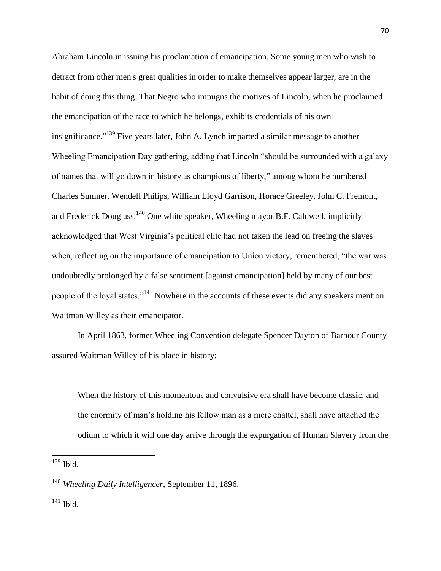Abraham Lincoln in issuing his proclamation of emancipation. Some young men who wish to detract from other men's great qualities in order to make themselves appear larger, are in the habit of doing this thing. That Negro who impugns the motives of Lincoln, when he proclaimed the emancipation of the race to which he belongs, exhibits credentials of his own insignificance.<sup> $139$ </sup> Five years later, John A. Lynch imparted a similar message to another Wheeling Emancipation Day gathering, adding that Lincoln "should be surrounded with a galaxy of names that will go down in history as champions of liberty," among whom he numbered Charles Sumner, Wendell Philips, William Lloyd Garrison, Horace Greeley, John C. Fremont, and Frederick Douglass.<sup>140</sup> One white speaker, Wheeling mayor B.F. Caldwell, implicitly acknowledged that West Virginia's political elite had not taken the lead on freeing the slaves when, reflecting on the importance of emancipation to Union victory, remembered, "the war was undoubtedly prolonged by a false sentiment [against emancipation] held by many of our best people of the loyal states."<sup>141</sup> Nowhere in the accounts of these events did any speakers mention Waitman Willey as their emancipator.

In April 1863, former Wheeling Convention delegate Spencer Dayton of Barbour County assured Waitman Willey of his place in history:

When the history of this momentous and convulsive era shall have become classic, and the enormity of man's holding his fellow man as a mere chattel, shall have attached the odium to which it will one day arrive through the expurgation of Human Slavery from the

 $139$  Ibid.

<sup>140</sup> *Wheeling Daily Intelligencer*, September 11, 1896.

<sup>&</sup>lt;sup>141</sup> Ibid.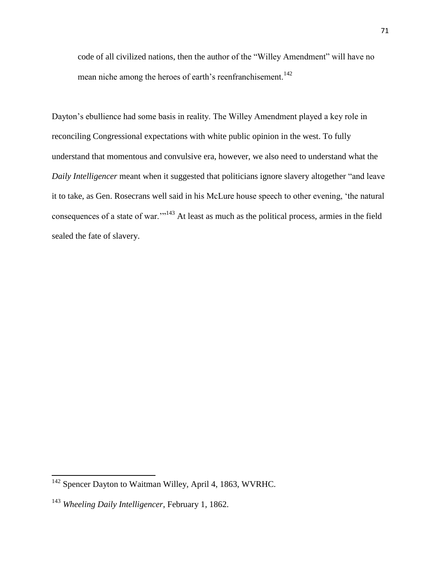code of all civilized nations, then the author of the "Willey Amendment" will have no mean niche among the heroes of earth's reenfranchisement.<sup>142</sup>

Dayton's ebullience had some basis in reality. The Willey Amendment played a key role in reconciling Congressional expectations with white public opinion in the west. To fully understand that momentous and convulsive era, however, we also need to understand what the *Daily Intelligencer* meant when it suggested that politicians ignore slavery altogether "and leave it to take, as Gen. Rosecrans well said in his McLure house speech to other evening, 'the natural consequences of a state of war."<sup>143</sup> At least as much as the political process, armies in the field sealed the fate of slavery.

 $\overline{a}$ 

<sup>&</sup>lt;sup>142</sup> Spencer Dayton to Waitman Willey, April 4, 1863, WVRHC.

<sup>143</sup> *Wheeling Daily Intelligencer*, February 1, 1862.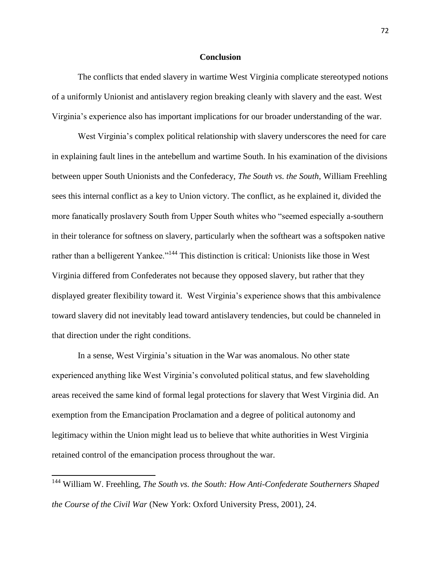#### **Conclusion**

The conflicts that ended slavery in wartime West Virginia complicate stereotyped notions of a uniformly Unionist and antislavery region breaking cleanly with slavery and the east. West Virginia's experience also has important implications for our broader understanding of the war.

West Virginia's complex political relationship with slavery underscores the need for care in explaining fault lines in the antebellum and wartime South. In his examination of the divisions between upper South Unionists and the Confederacy, *The South vs. the South*, William Freehling sees this internal conflict as a key to Union victory. The conflict, as he explained it, divided the more fanatically proslavery South from Upper South whites who "seemed especially a-southern in their tolerance for softness on slavery, particularly when the softheart was a softspoken native rather than a belligerent Yankee."<sup>144</sup> This distinction is critical: Unionists like those in West Virginia differed from Confederates not because they opposed slavery, but rather that they displayed greater flexibility toward it. West Virginia's experience shows that this ambivalence toward slavery did not inevitably lead toward antislavery tendencies, but could be channeled in that direction under the right conditions.

In a sense, West Virginia's situation in the War was anomalous. No other state experienced anything like West Virginia's convoluted political status, and few slaveholding areas received the same kind of formal legal protections for slavery that West Virginia did. An exemption from the Emancipation Proclamation and a degree of political autonomy and legitimacy within the Union might lead us to believe that white authorities in West Virginia retained control of the emancipation process throughout the war.

<sup>144</sup> William W. Freehling, *The South vs. the South: How Anti-Confederate Southerners Shaped the Course of the Civil War* (New York: Oxford University Press, 2001), 24.

 $\overline{a}$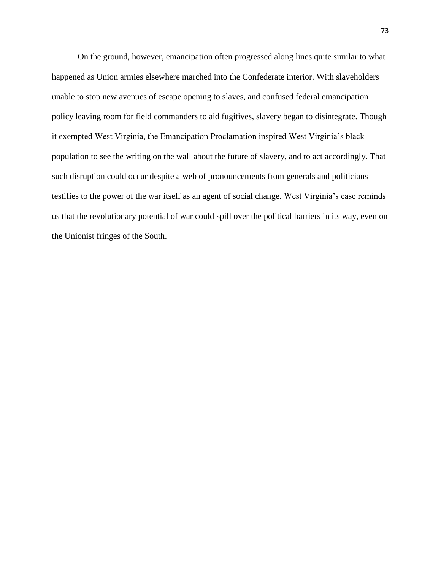On the ground, however, emancipation often progressed along lines quite similar to what happened as Union armies elsewhere marched into the Confederate interior. With slaveholders unable to stop new avenues of escape opening to slaves, and confused federal emancipation policy leaving room for field commanders to aid fugitives, slavery began to disintegrate. Though it exempted West Virginia, the Emancipation Proclamation inspired West Virginia's black population to see the writing on the wall about the future of slavery, and to act accordingly. That such disruption could occur despite a web of pronouncements from generals and politicians testifies to the power of the war itself as an agent of social change. West Virginia's case reminds us that the revolutionary potential of war could spill over the political barriers in its way, even on the Unionist fringes of the South.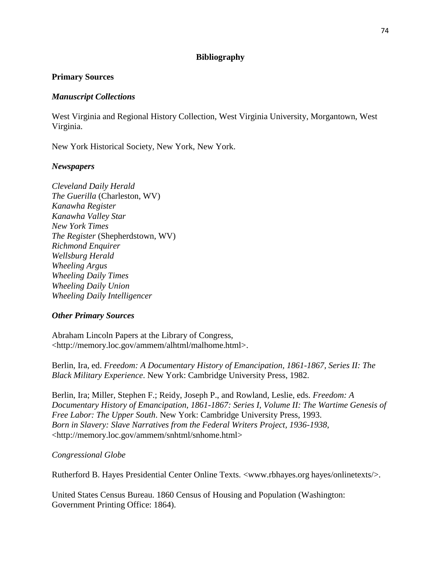# **Bibliography**

## **Primary Sources**

### *Manuscript Collections*

West Virginia and Regional History Collection, West Virginia University, Morgantown, West Virginia.

New York Historical Society, New York, New York.

### *Newspapers*

*Cleveland Daily Herald The Guerilla* (Charleston, WV) *Kanawha Register Kanawha Valley Star New York Times The Register* (Shepherdstown, WV) *Richmond Enquirer Wellsburg Herald Wheeling Argus Wheeling Daily Times Wheeling Daily Union Wheeling Daily Intelligencer*

#### *Other Primary Sources*

Abraham Lincoln Papers at the Library of Congress, <http://memory.loc.gov/ammem/alhtml/malhome.html>.

Berlin, Ira, ed. *Freedom: A Documentary History of Emancipation, 1861-1867, Series II: The Black Military Experience*. New York: Cambridge University Press, 1982.

Berlin, Ira; Miller, Stephen F.; Reidy, Joseph P., and Rowland, Leslie, eds. *Freedom: A Documentary History of Emancipation, 1861-1867: Series I, Volume II: The Wartime Genesis of Free Labor: The Upper South*. New York: Cambridge University Press, 1993. *Born in Slavery: Slave Narratives from the Federal Writers Project, 1936-1938*, <http://memory.loc.gov/ammem/snhtml/snhome.html>

# *Congressional Globe*

Rutherford B. Hayes Presidential Center Online Texts. <www.rbhayes.org hayes/onlinetexts/>.

United States Census Bureau. 1860 Census of Housing and Population (Washington: Government Printing Office: 1864).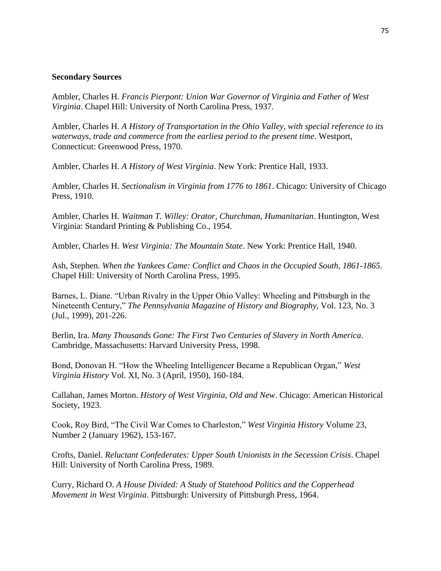#### **Secondary Sources**

Ambler, Charles H. *Francis Pierpont: Union War Governor of Virginia and Father of West Virginia*. Chapel Hill: University of North Carolina Press, 1937.

Ambler, Charles H. *A History of Transportation in the Ohio Valley, with special reference to its waterways, trade and commerce from the earliest period to the present time.* Westport, Connecticut: Greenwood Press, 1970.

Ambler, Charles H. *A History of West Virginia*. New York: Prentice Hall, 1933.

Ambler, Charles H. *Sectionalism in Virginia from 1776 to 1861*. Chicago: University of Chicago Press, 1910.

Ambler, Charles H. *Waitman T. Willey: Orator, Churchman, Humanitarian*. Huntington, West Virginia: Standard Printing & Publishing Co., 1954.

Ambler, Charles H. *West Virginia: The Mountain State*. New York: Prentice Hall, 1940.

Ash, Stephen. *When the Yankees Came: Conflict and Chaos in the Occupied South, 1861-1865*. Chapel Hill: University of North Carolina Press, 1995.

Barnes, L. Diane. "Urban Rivalry in the Upper Ohio Valley: Wheeling and Pittsburgh in the Nineteenth Century," *The Pennsylvania Magazine of History and Biography*, Vol. 123, No. 3 (Jul., 1999), 201-226.

Berlin, Ira. *Many Thousands Gone: The First Two Centuries of Slavery in North America*. Cambridge, Massachusetts: Harvard University Press, 1998.

Bond, Donovan H. "How the Wheeling Intelligencer Became a Republican Organ," *West Virginia History* Vol. XI, No. 3 (April, 1950), 160-184.

Callahan, James Morton. *History of West Virginia, Old and New*. Chicago: American Historical Society, 1923.

Cook, Roy Bird, "The Civil War Comes to Charleston," West Virginia History Volume 23, Number 2 (January 1962), 153-167.

Crofts, Daniel. *Reluctant Confederates: Upper South Unionists in the Secession Crisis*. Chapel Hill: University of North Carolina Press, 1989.

Curry, Richard O. *A House Divided: A Study of Statehood Politics and the Copperhead Movement in West Virginia*. Pittsburgh: University of Pittsburgh Press, 1964.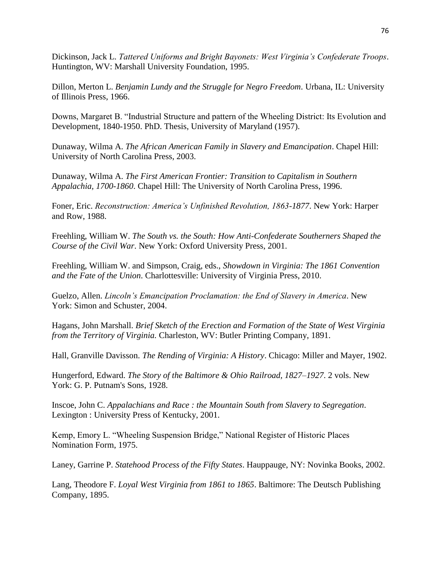Dickinson, Jack L. *Tattered Uniforms and Bright Bayonets: West Virginia's Confederate Troops*. Huntington, WV: Marshall University Foundation, 1995.

Dillon, Merton L. *Benjamin Lundy and the Struggle for Negro Freedom*. Urbana, IL: University of Illinois Press, 1966.

Downs, Margaret B. "Industrial Structure and pattern of the Wheeling District: Its Evolution and Development, 1840-1950. PhD. Thesis, University of Maryland (1957).

Dunaway, Wilma A. *The African American Family in Slavery and Emancipation*. Chapel Hill: University of North Carolina Press, 2003.

Dunaway, Wilma A. *The First American Frontier: Transition to Capitalism in Southern Appalachia, 1700-1860*. Chapel Hill: The University of North Carolina Press, 1996.

Foner, Eric. *Reconstruction: America's Unfinished Revolution, 1863-1877*. New York: Harper and Row, 1988.

Freehling, William W. *The South vs. the South: How Anti-Confederate Southerners Shaped the Course of the Civil War*. New York: Oxford University Press, 2001.

Freehling, William W. and Simpson, Craig, eds., *Showdown in Virginia: The 1861 Convention and the Fate of the Union*. Charlottesville: University of Virginia Press, 2010.

Guelzo, Allen. *Lincoln's Emancipation Proclamation: the End of Slavery in America*. New York: Simon and Schuster, 2004.

Hagans, John Marshall. *Brief Sketch of the Erection and Formation of the State of West Virginia from the Territory of Virginia.* Charleston, WV: Butler Printing Company, 1891.

Hall, Granville Davisson. *The Rending of Virginia: A History*. Chicago: Miller and Mayer, 1902.

Hungerford, Edward. *The Story of the Baltimore & Ohio Railroad, 1827–1927*. 2 vols. New York: G. P. Putnam's Sons, 1928.

Inscoe, John C. *Appalachians and Race : the Mountain South from Slavery to Segregation*. Lexington : University Press of Kentucky, 2001.

Kemp, Emory L. "Wheeling Suspension Bridge," National Register of Historic Places Nomination Form, 1975.

Laney, Garrine P. *Statehood Process of the Fifty States*. Hauppauge, NY: Novinka Books, 2002.

Lang, Theodore F. *Loyal West Virginia from 1861 to 1865*. Baltimore: The Deutsch Publishing Company, 1895.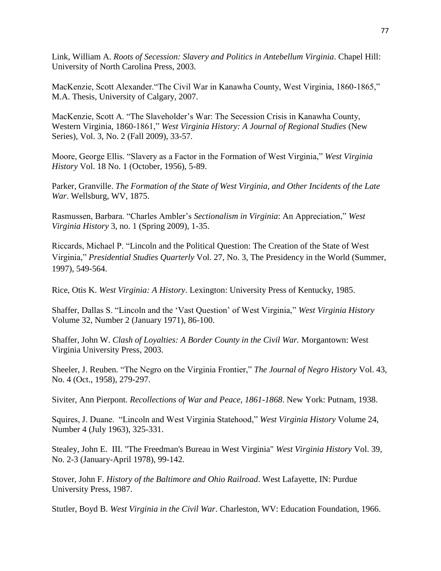Link, William A. *Roots of Secession: Slavery and Politics in Antebellum Virginia*. Chapel Hill: University of North Carolina Press, 2003.

MacKenzie, Scott Alexander. "The Civil War in Kanawha County, West Virginia, 1860-1865," M.A. Thesis, University of Calgary, 2007.

MacKenzie, Scott A. "The Slaveholder's War: The Secession Crisis in Kanawha County, Western Virginia, 1860-1861," West Virginia History: A Journal of Regional Studies (New Series), Vol. 3, No. 2 (Fall 2009), 33-57.

Moore, George Ellis. "Slavery as a Factor in the Formation of West Virginia," *West Virginia History* Vol. 18 No. 1 (October, 1956), 5-89.

Parker, Granville. *The Formation of the State of West Virginia, and Other Incidents of the Late War*. Wellsburg, WV, 1875.

Rasmussen, Barbara. "Charles Ambler's *Sectionalism in Virginia*: An Appreciation," West *Virginia History* 3, no. 1 (Spring 2009), 1-35.

Riccards, Michael P. "Lincoln and the Political Question: The Creation of the State of West Virginia,‖ *Presidential Studies Quarterly* Vol. 27, No. 3, The Presidency in the World (Summer, 1997), 549-564.

Rice, Otis K. *West Virginia: A History*. Lexington: University Press of Kentucky, 1985.

Shaffer, Dallas S. "Lincoln and the 'Vast Question' of West Virginia," *West Virginia History* Volume 32, Number 2 (January 1971), 86-100.

Shaffer, John W. *Clash of Loyalties: A Border County in the Civil War.* Morgantown: West Virginia University Press, 2003.

Sheeler, J. Reuben. "The Negro on the Virginia Frontier," *The Journal of Negro History* Vol. 43, No. 4 (Oct., 1958), 279-297.

Siviter, Ann Pierpont. *Recollections of War and Peace, 1861-1868*. New York: Putnam, 1938.

Squires, J. Duane. "Lincoln and West Virginia Statehood," *West Virginia History Volume 24*, Number 4 (July 1963), 325-331.

Stealey, John E. III. "The Freedman's Bureau in West Virginia" *West Virginia History* Vol. 39, No. 2-3 (January-April 1978), 99-142.

Stover, John F. *History of the Baltimore and Ohio Railroad*. West Lafayette, IN: Purdue University Press, 1987.

Stutler, Boyd B. *West Virginia in the Civil War*. Charleston, WV: Education Foundation, 1966.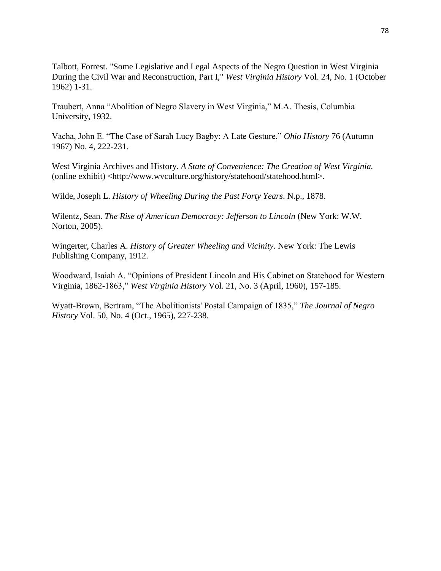Talbott, Forrest. "Some Legislative and Legal Aspects of the Negro Question in West Virginia During the Civil War and Reconstruction, Part I," *West Virginia History* Vol. 24, No. 1 (October 1962) 1-31.

Traubert, Anna "Abolition of Negro Slavery in West Virginia," M.A. Thesis, Columbia University, 1932.

Vacha, John E. "The Case of Sarah Lucy Bagby: A Late Gesture," *Ohio History* 76 (Autumn 1967) No. 4, 222-231.

West Virginia Archives and History. *A State of Convenience: The Creation of West Virginia.* (online exhibit) <http://www.wvculture.org/history/statehood/statehood.html>.

Wilde, Joseph L. *History of Wheeling During the Past Forty Years*. N.p., 1878.

Wilentz, Sean. *The Rise of American Democracy: Jefferson to Lincoln* (New York: W.W. Norton, 2005).

Wingerter, Charles A. *History of Greater Wheeling and Vicinity*. New York: The Lewis Publishing Company, 1912.

Woodward, Isaiah A. "Opinions of President Lincoln and His Cabinet on Statehood for Western Virginia, 1862-1863,‖ *West Virginia History* Vol. 21, No. 3 (April, 1960), 157-185.

Wyatt-Brown, Bertram, "The Abolitionists' Postal Campaign of 1835," The Journal of Negro *History* Vol. 50, No. 4 (Oct., 1965), 227-238.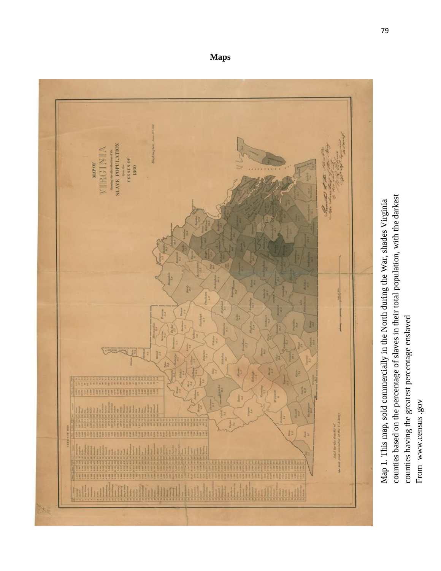

**Maps**

counties having the greatest percentage enslaved counties having the greatest percentage enslaved From www.census.gov From www.census .gov